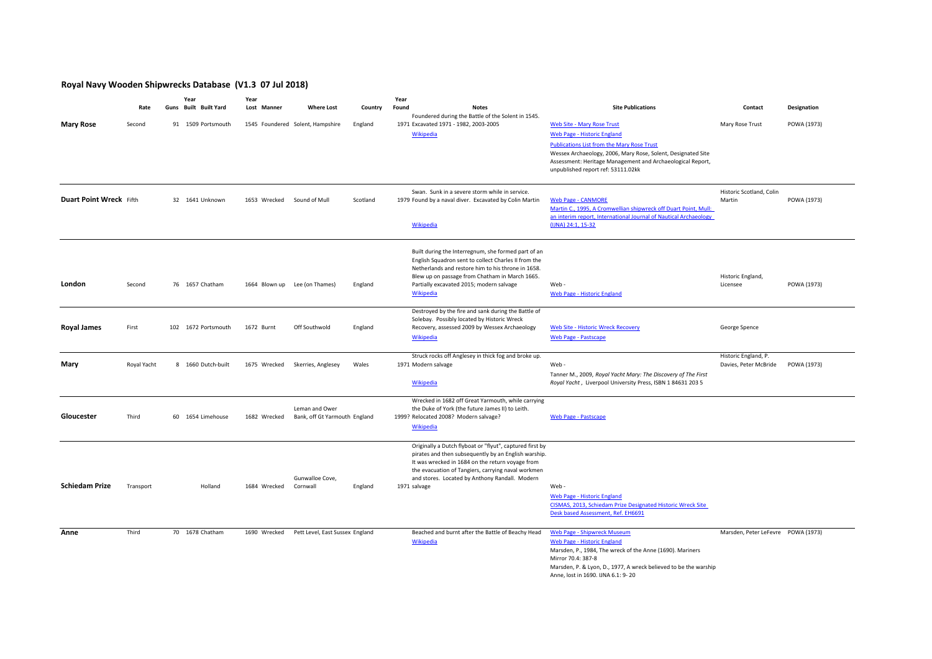## **Royal Navy Wooden Shipwrecks Database (V1.3 07 Jul 2018)**

|                         |             | Year                  | Year          |                                                 |          | Year  |                                                                                                                                                                                                                                                                                              |                                                                                                                                                                                                                                                         |                                               |             |
|-------------------------|-------------|-----------------------|---------------|-------------------------------------------------|----------|-------|----------------------------------------------------------------------------------------------------------------------------------------------------------------------------------------------------------------------------------------------------------------------------------------------|---------------------------------------------------------------------------------------------------------------------------------------------------------------------------------------------------------------------------------------------------------|-----------------------------------------------|-------------|
|                         | Rate        | Guns Built Built Yard | Lost Manner   | <b>Where Lost</b>                               | Country  | Found | <b>Notes</b><br>Foundered during the Battle of the Solent in 1545.                                                                                                                                                                                                                           | <b>Site Publications</b>                                                                                                                                                                                                                                | Contact                                       | Designation |
| <b>Mary Rose</b>        | Second      | 91 1509 Portsmouth    |               | 1545 Foundered Solent, Hampshire                | England  |       | 1971 Excavated 1971 - 1982, 2003-2005<br>Wikipedia                                                                                                                                                                                                                                           | <b>Web Site - Mary Rose Trust</b><br>Web Page - Historic England                                                                                                                                                                                        | Mary Rose Trust                               | POWA (1973) |
|                         |             |                       |               |                                                 |          |       |                                                                                                                                                                                                                                                                                              | <b>Publications List from the Mary Rose Trust</b><br>Wessex Archaeology, 2006, Mary Rose, Solent, Designated Site<br>Assessment: Heritage Management and Archaeological Report,<br>unpublished report ref: 53111.02kk                                   |                                               |             |
| Duart Point Wreck Fifth |             | 32 1641 Unknown       | 1653 Wrecked  | Sound of Mull                                   | Scotland |       | Swan. Sunk in a severe storm while in service.<br>1979 Found by a naval diver. Excavated by Colin Martin<br><b>Wikipedia</b>                                                                                                                                                                 | <b>Web Page - CANMORE</b><br>Martin C., 1995, A Cromwellian shipwreck off Duart Point, Mull:<br>an interim report, International Journal of Nautical Archaeology<br>(IJNA) 24:1, 15-32                                                                  | Historic Scotland, Colin<br>Martin            | POWA (1973) |
| London                  | Second      | 76 1657 Chatham       | 1664 Blown up | Lee (on Thames)                                 | England  |       | Built during the Interregnum, she formed part of an<br>English Squadron sent to collect Charles II from the<br>Netherlands and restore him to his throne in 1658.<br>Blew up on passage from Chatham in March 1665.<br>Partially excavated 2015; modern salvage<br><b>Wikipedia</b>          | Web-<br>Web Page - Historic England                                                                                                                                                                                                                     | Historic England,<br>Licensee                 | POWA (1973) |
| <b>Royal James</b>      | First       | 102 1672 Portsmouth   | 1672 Burnt    | Off Southwold                                   | England  |       | Destroyed by the fire and sank during the Battle of<br>Solebay. Possibly located by Historic Wreck<br>Recovery, assessed 2009 by Wessex Archaeology<br>Wikipedia                                                                                                                             | <b>Web Site - Historic Wreck Recovery</b><br><b>Web Page - Pastscape</b>                                                                                                                                                                                | George Spence                                 |             |
| Mary                    | Royal Yacht | 8 1660 Dutch-built    | 1675 Wrecked  | Skerries, Anglesey                              | Wales    |       | Struck rocks off Anglesey in thick fog and broke up.<br>1971 Modern salvage<br><b>Wikipedia</b>                                                                                                                                                                                              | Web-<br>Tanner M., 2009, Royal Yacht Mary: The Discovery of The First<br>Royal Yacht, Liverpool University Press, ISBN 1 84631 203 5                                                                                                                    | Historic England, P.<br>Davies, Peter McBride | POWA (1973) |
| Gloucester              | Third       | 60 1654 Limehouse     | 1682 Wrecked  | Leman and Ower<br>Bank, off Gt Yarmouth England |          |       | Wrecked in 1682 off Great Yarmouth, while carrying<br>the Duke of York (the future James II) to Leith.<br>1999? Relocated 2008? Modern salvage?<br>Wikipedia                                                                                                                                 | <b>Web Page - Pastscape</b>                                                                                                                                                                                                                             |                                               |             |
| <b>Schiedam Prize</b>   | Transport   | Holland               | 1684 Wrecked  | Gunwalloe Cove,<br>Cornwall                     | England  |       | Originally a Dutch flyboat or "flyut", captured first by<br>pirates and then subsequently by an English warship.<br>It was wrecked in 1684 on the return voyage from<br>the evacuation of Tangiers, carrying naval workmen<br>and stores. Located by Anthony Randall. Modern<br>1971 salvage | Web-<br>Web Page - Historic England<br>CISMAS, 2013, Schiedam Prize Designated Historic Wreck Site<br>Desk based Assessment, Ref. EH6691                                                                                                                |                                               |             |
| Anne                    | Third       | 70 1678 Chatham       | 1690 Wrecked  | Pett Level, East Sussex England                 |          |       | Beached and burnt after the Battle of Beachy Head<br><b>Wikipedia</b>                                                                                                                                                                                                                        | Web Page - Shipwreck Museum<br>Web Page - Historic England<br>Marsden, P., 1984, The wreck of the Anne (1690). Mariners<br>Mirror 70.4: 387-8<br>Marsden, P. & Lyon, D., 1977, A wreck believed to be the warship<br>Anne, lost in 1690. IJNA 6.1: 9-20 | Marsden, Peter LeFevre POWA (1973)            |             |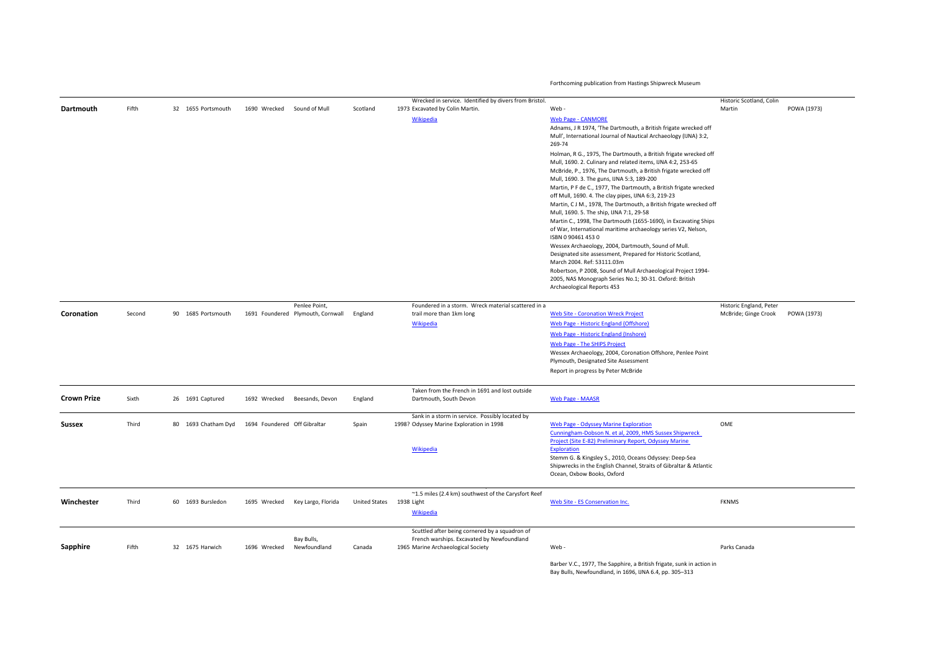Forthcoming publication from Hastings Shipwreck Museum

|                    |        |                     |                              |                                                    |                          | Wrecked in service. Identified by divers from Bristol.                                       |                                                                                                                                                                                                                                                  | Historic Scotland, Colin                        |             |
|--------------------|--------|---------------------|------------------------------|----------------------------------------------------|--------------------------|----------------------------------------------------------------------------------------------|--------------------------------------------------------------------------------------------------------------------------------------------------------------------------------------------------------------------------------------------------|-------------------------------------------------|-------------|
| Dartmouth          | Fifth  | 32 1655 Portsmouth  | 1690 Wrecked                 | Sound of Mull                                      | Scotland                 | 1973 Excavated by Colin Martin.                                                              | Web-                                                                                                                                                                                                                                             | Martin                                          | POWA (1973) |
|                    |        |                     |                              |                                                    |                          | Wikipedia                                                                                    | <b>Web Page - CANMORE</b><br>Adnams, J R 1974, 'The Dartmouth, a British frigate wrecked off<br>Mull', International Journal of Nautical Archaeology (IJNA) 3:2,<br>269-74                                                                       |                                                 |             |
|                    |        |                     |                              |                                                    |                          |                                                                                              | Holman, R G., 1975, The Dartmouth, a British frigate wrecked off<br>Mull, 1690. 2. Culinary and related items, IJNA 4:2, 253-65<br>McBride, P., 1976, The Dartmouth, a British frigate wrecked off<br>Mull, 1690. 3. The guns, IJNA 5:3, 189-200 |                                                 |             |
|                    |        |                     |                              |                                                    |                          |                                                                                              | Martin, P F de C., 1977, The Dartmouth, a British frigate wrecked<br>off Mull, 1690. 4. The clay pipes, IJNA 6:3, 219-23<br>Martin, CJ M., 1978, The Dartmouth, a British frigate wrecked off                                                    |                                                 |             |
|                    |        |                     |                              |                                                    |                          |                                                                                              | Mull, 1690. 5. The ship, IJNA 7:1, 29-58<br>Martin C., 1998, The Dartmouth (1655-1690), in Excavating Ships<br>of War, International maritime archaeology series V2, Nelson,                                                                     |                                                 |             |
|                    |        |                     |                              |                                                    |                          |                                                                                              | ISBN 0 90461 453 0<br>Wessex Archaeology, 2004, Dartmouth, Sound of Mull.                                                                                                                                                                        |                                                 |             |
|                    |        |                     |                              |                                                    |                          |                                                                                              | Designated site assessment, Prepared for Historic Scotland,<br>March 2004. Ref: 53111.03m                                                                                                                                                        |                                                 |             |
|                    |        |                     |                              |                                                    |                          |                                                                                              | Robertson, P 2008, Sound of Mull Archaeological Project 1994-<br>2005, NAS Monograph Series No.1; 30-31. Oxford: British<br>Archaeological Reports 453                                                                                           |                                                 |             |
| Coronation         | Second | 90 1685 Portsmouth  |                              | Penlee Point,<br>1691 Foundered Plymouth, Cornwall | England                  | Foundered in a storm. Wreck material scattered in a<br>trail more than 1km long              | <b>Web Site - Coronation Wreck Project</b>                                                                                                                                                                                                       | Historic England, Peter<br>McBride; Ginge Crook | POWA (1973) |
|                    |        |                     |                              |                                                    |                          | Wikipedia                                                                                    | Web Page - Historic England (Offshore)                                                                                                                                                                                                           |                                                 |             |
|                    |        |                     |                              |                                                    |                          |                                                                                              | Web Page - Historic England (Inshore)                                                                                                                                                                                                            |                                                 |             |
|                    |        |                     |                              |                                                    |                          |                                                                                              | <b>Web Page - The SHIPS Project</b>                                                                                                                                                                                                              |                                                 |             |
|                    |        |                     |                              |                                                    |                          |                                                                                              | Wessex Archaeology, 2004, Coronation Offshore, Penlee Point<br>Plymouth, Designated Site Assessment                                                                                                                                              |                                                 |             |
|                    |        |                     |                              |                                                    |                          |                                                                                              | Report in progress by Peter McBride                                                                                                                                                                                                              |                                                 |             |
| <b>Crown Prize</b> | Sixth  | 26 1691 Captured    | 1692 Wrecked                 | Beesands, Devon                                    | England                  | Taken from the French in 1691 and lost outside<br>Dartmouth, South Devon                     | <b>Web Page - MAASR</b>                                                                                                                                                                                                                          |                                                 |             |
|                    |        |                     |                              |                                                    |                          | Sank in a storm in service. Possibly located by                                              |                                                                                                                                                                                                                                                  |                                                 |             |
| <b>Sussex</b>      | Third  | 80 1693 Chatham Dyd | 1694 Foundered Off Gibraltar |                                                    | Spain                    | 1998? Odyssey Marine Exploration in 1998                                                     | <b>Web Page - Odyssey Marine Exploration</b><br>Cunningham-Dobson N. et al, 2009, HMS Sussex Shipwreck                                                                                                                                           | OME                                             |             |
|                    |        |                     |                              |                                                    |                          | Wikipedia                                                                                    | Project (Site E-82) Preliminary Report, Odyssey Marine<br><b>Exploration</b><br>Stemm G. & Kingsley S., 2010, Oceans Odyssey: Deep-Sea<br>Shipwrecks in the English Channel, Straits of Gibraltar & Atlantic<br>Ocean, Oxbow Books, Oxford       |                                                 |             |
|                    |        |                     |                              |                                                    |                          | ~1.5 miles (2.4 km) southwest of the Carysfort Reef                                          |                                                                                                                                                                                                                                                  |                                                 |             |
| Winchester         | Third  | 60 1693 Bursledon   |                              | 1695 Wrecked Key Largo, Florida                    | United States 1938 Light | Wikipedia                                                                                    | Web Site - ES Conservation Inc.                                                                                                                                                                                                                  | <b>FKNMS</b>                                    |             |
|                    |        |                     |                              | Bay Bulls,                                         |                          | Scuttled after being cornered by a squadron of<br>French warships. Excavated by Newfoundland |                                                                                                                                                                                                                                                  |                                                 |             |
| Sapphire           | Fifth  | 32 1675 Harwich     | 1696 Wrecked                 | Newfoundland                                       | Canada                   | 1965 Marine Archaeological Society                                                           | Web-                                                                                                                                                                                                                                             | Parks Canada                                    |             |
|                    |        |                     |                              |                                                    |                          |                                                                                              | Barber V.C., 1977, The Sapphire, a British frigate, sunk in action in<br>Bay Bulls, Newfoundland, in 1696, IJNA 6.4, pp. 305-313                                                                                                                 |                                                 |             |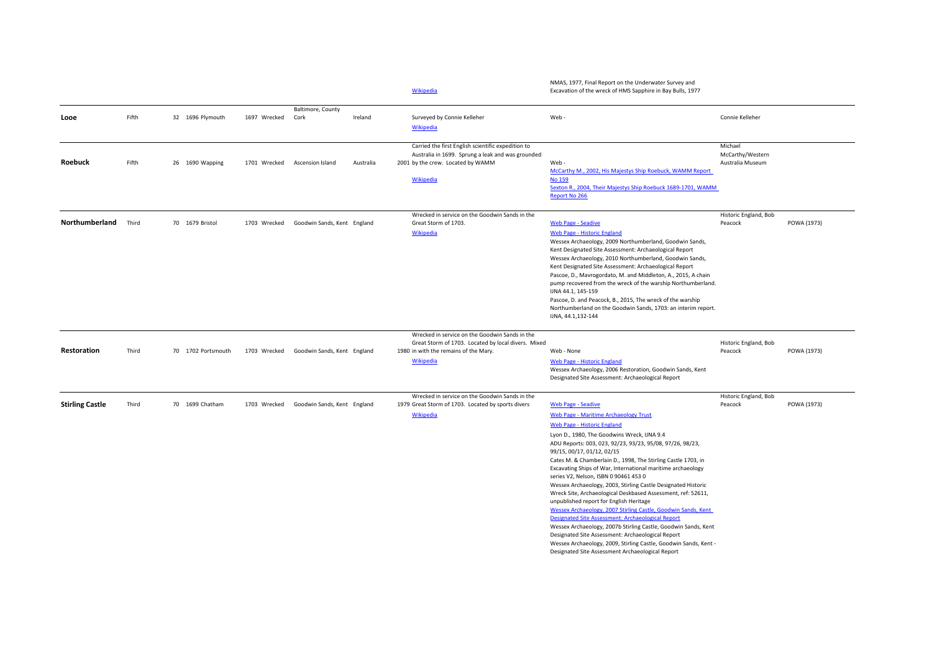|                        |       |                    |              |                                          |           | Wikipedia                                                                                                                                                   | NMAS, 1977, Final Report on the Underwater Survey and<br>Excavation of the wreck of HMS Sapphire in Bay Bulls, 1977                                                                                                                                                                                                                                                                                                                                                                                                                                                                                                                                                                                                                                                                                                                                                                                                                                                   |                                                 |             |
|------------------------|-------|--------------------|--------------|------------------------------------------|-----------|-------------------------------------------------------------------------------------------------------------------------------------------------------------|-----------------------------------------------------------------------------------------------------------------------------------------------------------------------------------------------------------------------------------------------------------------------------------------------------------------------------------------------------------------------------------------------------------------------------------------------------------------------------------------------------------------------------------------------------------------------------------------------------------------------------------------------------------------------------------------------------------------------------------------------------------------------------------------------------------------------------------------------------------------------------------------------------------------------------------------------------------------------|-------------------------------------------------|-------------|
| Looe                   | Fifth | 32 1696 Plymouth   | 1697 Wrecked | Baltimore, County<br>Cork                | Ireland   | Surveyed by Connie Kelleher<br><b>Wikipedia</b>                                                                                                             | Web-                                                                                                                                                                                                                                                                                                                                                                                                                                                                                                                                                                                                                                                                                                                                                                                                                                                                                                                                                                  | Connie Kelleher                                 |             |
| Roebuck                | Fifth | 26 1690 Wapping    |              | 1701 Wrecked Ascension Island            | Australia | Carried the first English scientific expedition to<br>Australia in 1699. Sprung a leak and was grounded<br>2001 by the crew. Located by WAMM<br>Wikipedia   | Web-<br>McCarthy M., 2002, His Majestys Ship Roebuck, WAMM Report<br><b>No 159</b><br>Sexton R., 2004, Their Majestys Ship Roebuck 1689-1701, WAMM<br>Report No 266                                                                                                                                                                                                                                                                                                                                                                                                                                                                                                                                                                                                                                                                                                                                                                                                   | Michael<br>McCarthy/Western<br>Australia Museum |             |
| Northumberland         | Third | 70 1679 Bristol    | 1703 Wrecked | Goodwin Sands, Kent England              |           | Wrecked in service on the Goodwin Sands in the<br>Great Storm of 1703.<br><b>Wikipedia</b>                                                                  | <b>Web Page - Seadive</b><br><b>Web Page - Historic England</b><br>Wessex Archaeology, 2009 Northumberland, Goodwin Sands,<br>Kent Designated Site Assessment: Archaeological Report<br>Wessex Archaeology, 2010 Northumberland, Goodwin Sands,<br>Kent Designated Site Assessment: Archaeological Report<br>Pascoe, D., Mavrogordato, M. and Middleton, A., 2015, A chain<br>pump recovered from the wreck of the warship Northumberland.<br>IJNA 44.1, 145-159<br>Pascoe, D. and Peacock, B., 2015, The wreck of the warship<br>Northumberland on the Goodwin Sands, 1703: an interim report.<br>IJNA, 44.1, 132-144                                                                                                                                                                                                                                                                                                                                                | Historic England, Bob<br>Peacock                | POWA (1973) |
| Restoration            | Third | 70 1702 Portsmouth |              | 1703 Wrecked Goodwin Sands, Kent England |           | Wrecked in service on the Goodwin Sands in the<br>Great Storm of 1703. Located by local divers. Mixed<br>1980 in with the remains of the Mary.<br>Wikipedia | Web - None<br>Web Page - Historic England<br>Wessex Archaeology, 2006 Restoration, Goodwin Sands, Kent<br>Designated Site Assessment: Archaeological Report                                                                                                                                                                                                                                                                                                                                                                                                                                                                                                                                                                                                                                                                                                                                                                                                           | Historic England, Bob<br>Peacock                | POWA (1973) |
| <b>Stirling Castle</b> | Third | 70 1699 Chatham    | 1703 Wrecked | Goodwin Sands, Kent England              |           | Wrecked in service on the Goodwin Sands in the<br>1979 Great Storm of 1703. Located by sports divers<br>Wikipedia                                           | <b>Web Page - Seadive</b><br>Web Page - Maritime Archaeology Trust<br>Web Page - Historic England<br>Lyon D., 1980, The Goodwins Wreck, IJNA 9.4<br>ADU Reports: 003, 023, 92/23, 93/23, 95/08, 97/26, 98/23,<br>99/15, 00/17, 01/12, 02/15<br>Cates M. & Chamberlain D., 1998, The Stirling Castle 1703, in<br>Excavating Ships of War, International maritime archaeology<br>series V2, Nelson, ISBN 0 90461 453 0<br>Wessex Archaeology, 2003, Stirling Castle Designated Historic<br>Wreck Site, Archaeological Deskbased Assessment, ref: 52611,<br>unpublished report for English Heritage<br>Wessex Archaeology, 2007 Stirling Castle, Goodwin Sands, Kent<br>Designated Site Assessment: Archaeological Report<br>Wessex Archaeology, 2007b Stirling Castle, Goodwin Sands, Kent<br>Designated Site Assessment: Archaeological Report<br>Wessex Archaeology, 2009, Stirling Castle, Goodwin Sands, Kent -<br>Designated Site Assessment Archaeological Report | Historic England, Bob<br>Peacock                | POWA (1973) |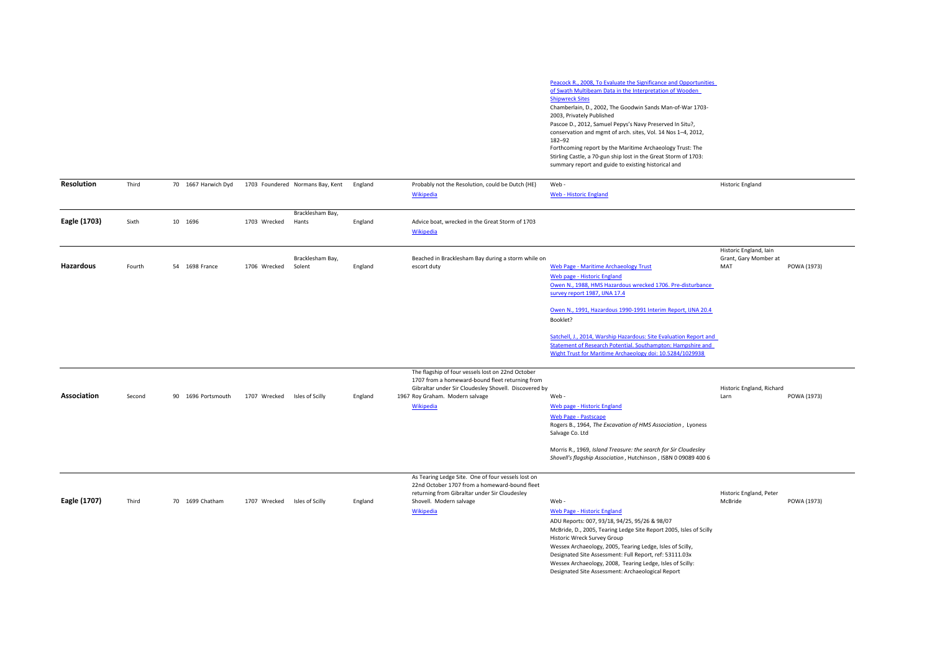| Peacock R., 2008, To Evaluate the Significance and Opportunities |
|------------------------------------------------------------------|
| of Swath Multibeam Data in the Interpretation of Wooden          |
| <b>Shipwreck Sites</b>                                           |
| Chamberlain, D., 2002, The Goodwin Sands Man-of-War 1703-        |
| 2003, Privately Published                                        |
| Pascoe D., 2012, Samuel Pepys's Navy Preserved In Situ?,         |
| conservation and mgmt of arch. sites, Vol. 14 Nos 1-4, 2012,     |
| 182-92                                                           |
| Forthcoming report by the Maritime Archaeology Trust: The        |
| Stirling Castle, a 70-gun ship lost in the Great Storm of 1703:  |
| summary report and guide to existing historical and              |

| <b>Resolution</b> | Third  | 70 1667 Harwich Dyd |              | 1703 Foundered Normans Bay, Kent | England | Probably not the Resolution, could be Dutch (HE)                                                                                                                                                              | Web-                                                                                                                                                                                                                                                                                                                                                                                                                                 | <b>Historic England</b>                                |             |
|-------------------|--------|---------------------|--------------|----------------------------------|---------|---------------------------------------------------------------------------------------------------------------------------------------------------------------------------------------------------------------|--------------------------------------------------------------------------------------------------------------------------------------------------------------------------------------------------------------------------------------------------------------------------------------------------------------------------------------------------------------------------------------------------------------------------------------|--------------------------------------------------------|-------------|
|                   |        |                     |              |                                  |         | Wikipedia                                                                                                                                                                                                     | <b>Web - Historic England</b>                                                                                                                                                                                                                                                                                                                                                                                                        |                                                        |             |
| Eagle (1703)      | Sixth  | 10 1696             | 1703 Wrecked | Bracklesham Bay,<br>Hants        | England | Advice boat, wrecked in the Great Storm of 1703<br>Wikipedia                                                                                                                                                  |                                                                                                                                                                                                                                                                                                                                                                                                                                      |                                                        |             |
| Hazardous         | Fourth | 54 1698 France      | 1706 Wrecked | Bracklesham Bay,<br>Solent       | England | Beached in Bracklesham Bay during a storm while on<br>escort duty                                                                                                                                             | <b>Web Page - Maritime Archaeology Trust</b><br>Web page - Historic England<br>Owen N., 1988, HMS Hazardous wrecked 1706. Pre-disturbance<br>survey report 1987, IJNA 17.4<br>Owen N., 1991, Hazardous 1990-1991 Interim Report, IJNA 20.4                                                                                                                                                                                           | Historic England, Iain<br>Grant, Gary Momber at<br>MAT | POWA (1973) |
|                   |        |                     |              |                                  |         |                                                                                                                                                                                                               | Booklet?<br>Satchell, J., 2014, Warship Hazardous: Site Evaluation Report and<br>Statement of Research Potential. Southampton: Hampshire and<br>Wight Trust for Maritime Archaeology doi: 10.5284/1029938                                                                                                                                                                                                                            |                                                        |             |
| Association       | Second | 90 1696 Portsmouth  | 1707 Wrecked | Isles of Scilly                  | England | The flagship of four vessels lost on 22nd October<br>1707 from a homeward-bound fleet returning from<br>Gibraltar under Sir Cloudesley Shovell. Discovered by<br>1967 Roy Graham. Modern salvage<br>Wikipedia | Web-<br>Web page - Historic England<br><b>Web Page - Pastscape</b><br>Rogers B., 1964, The Excavation of HMS Association, Lyoness<br>Salvage Co. Ltd<br>Morris R., 1969, Island Treasure: the search for Sir Cloudesley<br>Shovell's flagship Association, Hutchinson, ISBN 0 09089 400 6                                                                                                                                            | Historic England, Richard<br>Larn                      | POWA (1973) |
| Eagle (1707)      | Third  | 70 1699 Chatham     | 1707 Wrecked | Isles of Scilly                  | England | As Tearing Ledge Site. One of four vessels lost on<br>22nd October 1707 from a homeward-bound fleet<br>returning from Gibraltar under Sir Cloudesley<br>Shovell. Modern salvage<br>Wikipedia                  | Web -<br>Web Page - Historic England<br>ADU Reports: 007, 93/18, 94/25, 95/26 & 98/07<br>McBride, D., 2005, Tearing Ledge Site Report 2005, Isles of Scilly<br>Historic Wreck Survey Group<br>Wessex Archaeology, 2005, Tearing Ledge, Isles of Scilly,<br>Designated Site Assessment: Full Report, ref: 53111.03x<br>Wessex Archaeology, 2008, Tearing Ledge, Isles of Scilly:<br>Designated Site Assessment: Archaeological Report | Historic England, Peter<br>McBride                     | POWA (1973) |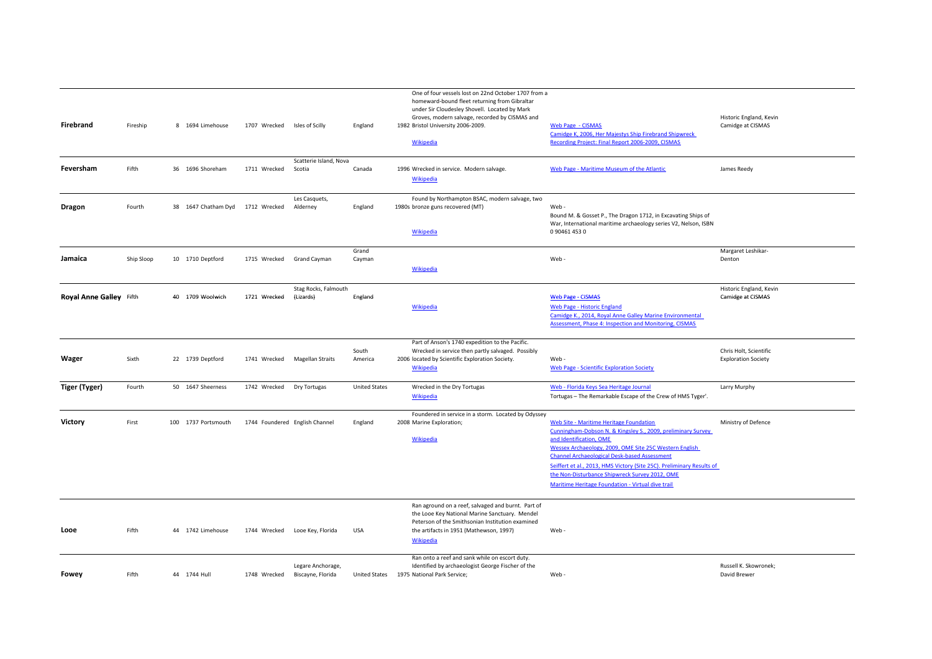| Firebrand               | Fireship   | 8 1694 Limehouse                 | 1707 Wrecked                   | Isles of Scilly                        | England              | One of four vessels lost on 22nd October 1707 from a<br>homeward-bound fleet returning from Gibraltar<br>under Sir Cloudesley Shovell. Located by Mark<br>Groves, modern salvage, recorded by CISMAS and<br>1982 Bristol University 2006-2009.<br>Wikipedia | Web Page - CISMAS<br>Camidge K, 2006, Her Majestys Ship Firebrand Shipwreck<br>Recording Project: Final Report 2006-2009, CISMAS                                                                                                                                                                                                                                                                                                    | Historic England, Kevin<br>Camidge at CISMAS         |
|-------------------------|------------|----------------------------------|--------------------------------|----------------------------------------|----------------------|-------------------------------------------------------------------------------------------------------------------------------------------------------------------------------------------------------------------------------------------------------------|-------------------------------------------------------------------------------------------------------------------------------------------------------------------------------------------------------------------------------------------------------------------------------------------------------------------------------------------------------------------------------------------------------------------------------------|------------------------------------------------------|
|                         |            |                                  |                                |                                        |                      |                                                                                                                                                                                                                                                             |                                                                                                                                                                                                                                                                                                                                                                                                                                     |                                                      |
|                         |            |                                  |                                | Scatterie Island, Nova                 |                      |                                                                                                                                                                                                                                                             |                                                                                                                                                                                                                                                                                                                                                                                                                                     |                                                      |
| Feversham               | Fifth      | 36 1696 Shoreham                 | 1711 Wrecked                   | Scotia                                 | Canada               | 1996 Wrecked in service. Modern salvage.<br><b>Wikipedia</b>                                                                                                                                                                                                | Web Page - Maritime Museum of the Atlantic                                                                                                                                                                                                                                                                                                                                                                                          | James Reedy                                          |
| Dragon                  | Fourth     | 38 1647 Chatham Dyd 1712 Wrecked |                                | Les Casquets,<br>Alderney              | England              | Found by Northampton BSAC, modern salvage, two<br>1980s bronze guns recovered (MT)<br>Wikipedia                                                                                                                                                             | Web-<br>Bound M. & Gosset P., The Dragon 1712, in Excavating Ships of<br>War, International maritime archaeology series V2, Nelson, ISBN<br>0904614530                                                                                                                                                                                                                                                                              |                                                      |
|                         |            |                                  |                                |                                        |                      |                                                                                                                                                                                                                                                             |                                                                                                                                                                                                                                                                                                                                                                                                                                     |                                                      |
| Jamaica                 | Ship Sloop | 10 1710 Deptford                 | 1715 Wrecked                   | Grand Cayman                           | Grand<br>Cayman      | Wikipedia                                                                                                                                                                                                                                                   | Web-                                                                                                                                                                                                                                                                                                                                                                                                                                | Margaret Leshikar-<br>Denton                         |
| Royal Anne Galley Fifth |            | 40 1709 Woolwich                 | 1721 Wrecked                   | Stag Rocks, Falmouth<br>(Lizards)      | England              | Wikipedia                                                                                                                                                                                                                                                   | <b>Web Page - CISMAS</b><br>Web Page - Historic England<br>Camidge K., 2014, Royal Anne Galley Marine Environmental<br>Assessment, Phase 4: Inspection and Monitoring, CISMAS                                                                                                                                                                                                                                                       | Historic England, Kevin<br>Camidge at CISMAS         |
| Wager                   | Sixth      | 22 1739 Deptford                 |                                | 1741 Wrecked Magellan Straits          | South<br>America     | Part of Anson's 1740 expedition to the Pacific.<br>Wrecked in service then partly salvaged. Possibly<br>2006 located by Scientific Exploration Society.<br>Wikipedia                                                                                        | Web-<br><b>Web Page - Scientific Exploration Society</b>                                                                                                                                                                                                                                                                                                                                                                            | Chris Holt, Scientific<br><b>Exploration Society</b> |
| Tiger (Tyger)           | Fourth     | 50 1647 Sheerness                | 1742 Wrecked                   | Dry Tortugas                           | <b>United States</b> | Wrecked in the Dry Tortugas<br>Wikipedia                                                                                                                                                                                                                    | Web - Florida Keys Sea Heritage Journal<br>Tortugas - The Remarkable Escape of the Crew of HMS Tyger'.                                                                                                                                                                                                                                                                                                                              | Larry Murphy                                         |
| <b>Victory</b>          | First      | 100 1737 Portsmouth              | 1744 Foundered English Channel |                                        | England              | Foundered in service in a storm. Located by Odyssey<br>2008 Marine Exploration;<br>Wikipedia                                                                                                                                                                | Web Site - Maritime Heritage Foundation<br>Cunningham-Dobson N. & Kingsley S., 2009, preliminary Survey<br>and Identification, OME<br>Wessex Archaeology, 2009, OME Site 25C Western English<br><b>Channel Archaeological Desk-based Assessment</b><br>Seiffert et al., 2013, HMS Victory (Site 25C). Preliminary Results of<br>the Non-Disturbance Shipwreck Survey 2012, OME<br>Maritime Heritage Foundation - Virtual dive trail | Ministry of Defence                                  |
| Looe                    | Fifth      | 44 1742 Limehouse                |                                | 1744 Wrecked Looe Key, Florida         | <b>USA</b>           | Ran aground on a reef, salvaged and burnt. Part of<br>the Looe Key National Marine Sanctuary. Mendel<br>Peterson of the Smithsonian Institution examined<br>the artifacts in 1951 (Mathewson, 1997)<br><b>Wikipedia</b>                                     | Web-                                                                                                                                                                                                                                                                                                                                                                                                                                |                                                      |
| Fowey                   | Fifth      | 44 1744 Hull                     | 1748 Wrecked                   | Legare Anchorage,<br>Biscayne, Florida |                      | Ran onto a reef and sank while on escort duty.<br>Identified by archaeologist George Fischer of the<br>United States 1975 National Park Service;                                                                                                            | Web-                                                                                                                                                                                                                                                                                                                                                                                                                                | Russell K. Skowronek;<br>David Brewer                |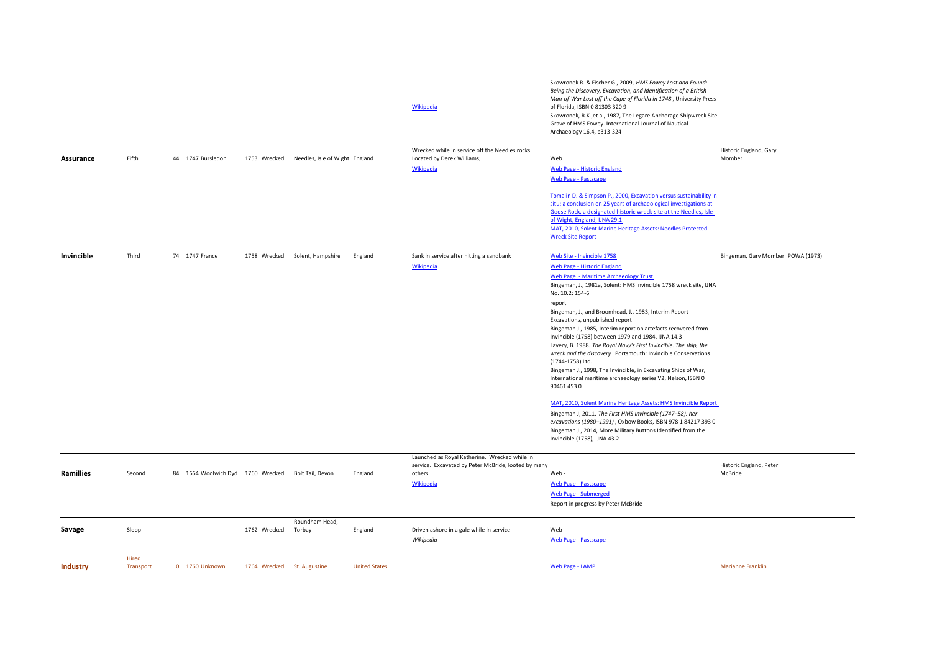|            |                    |                                   |                            |                                             |                      | Wikipedia                                                                                                                    | Skowronek R. & Fischer G., 2009, HMS Fowey Lost and Found:<br>Being the Discovery, Excavation, and Identification of a British<br>Man-of-War Lost off the Cape of Florida in 1748, University Press<br>of Florida, ISBN 0 81303 320 9<br>Skowronek, R.K., et al, 1987, The Legare Anchorage Shipwreck Site-<br>Grave of HMS Fowey. International Journal of Nautical<br>Archaeology 16.4, p313-324                                                                                                                                                                                                                                                                                                                                                                                                                                                                                                                                                                                      |                                    |
|------------|--------------------|-----------------------------------|----------------------------|---------------------------------------------|----------------------|------------------------------------------------------------------------------------------------------------------------------|-----------------------------------------------------------------------------------------------------------------------------------------------------------------------------------------------------------------------------------------------------------------------------------------------------------------------------------------------------------------------------------------------------------------------------------------------------------------------------------------------------------------------------------------------------------------------------------------------------------------------------------------------------------------------------------------------------------------------------------------------------------------------------------------------------------------------------------------------------------------------------------------------------------------------------------------------------------------------------------------|------------------------------------|
|            |                    |                                   |                            |                                             |                      | Wrecked while in service off the Needles rocks.                                                                              |                                                                                                                                                                                                                                                                                                                                                                                                                                                                                                                                                                                                                                                                                                                                                                                                                                                                                                                                                                                         | Historic England, Gary             |
| Assurance  | Fifth              | 44 1747 Bursledon                 |                            | 1753 Wrecked Needles, Isle of Wight England |                      | Located by Derek Williams;                                                                                                   | Web                                                                                                                                                                                                                                                                                                                                                                                                                                                                                                                                                                                                                                                                                                                                                                                                                                                                                                                                                                                     | Momber                             |
|            |                    |                                   |                            |                                             |                      | Wikipedia                                                                                                                    | Web Page - Historic England<br><b>Web Page - Pastscape</b>                                                                                                                                                                                                                                                                                                                                                                                                                                                                                                                                                                                                                                                                                                                                                                                                                                                                                                                              |                                    |
|            |                    |                                   |                            |                                             |                      |                                                                                                                              | Tomalin D. & Simpson P., 2000, Excavation versus sustainability in<br>situ: a conclusion on 25 years of archaeological investigations at<br>Goose Rock, a designated historic wreck-site at the Needles, Isle<br>of Wight, England, IJNA 29.1<br>MAT, 2010, Solent Marine Heritage Assets: Needles Protected<br><b>Wreck Site Report</b>                                                                                                                                                                                                                                                                                                                                                                                                                                                                                                                                                                                                                                                |                                    |
| Invincible | Third              | 74 1747 France                    | 1758 Wrecked               | Solent, Hampshire                           | England              | Sank in service after hitting a sandbank                                                                                     | Web Site - Invincible 1758                                                                                                                                                                                                                                                                                                                                                                                                                                                                                                                                                                                                                                                                                                                                                                                                                                                                                                                                                              | Bingeman, Gary Momber POWA (1973)  |
|            |                    |                                   |                            |                                             |                      | <b>Wikipedia</b>                                                                                                             | <b>Web Page - Historic England</b>                                                                                                                                                                                                                                                                                                                                                                                                                                                                                                                                                                                                                                                                                                                                                                                                                                                                                                                                                      |                                    |
|            |                    |                                   |                            |                                             |                      |                                                                                                                              | Web Page - Maritime Archaeology Trust<br>Bingeman, J., 1981a, Solent: HMS Invincible 1758 wreck site, IJNA<br>No. 10.2: 154-6<br>$\sim$ $\sim$<br>report<br>Bingeman, J., and Broomhead, J., 1983, Interim Report<br>Excavations, unpublished report<br>Bingeman J., 1985, Interim report on artefacts recovered from<br>Invincible (1758) between 1979 and 1984, IJNA 14.3<br>Lavery, B. 1988. The Royal Navy's First Invincible. The ship, the<br>wreck and the discovery . Portsmouth: Invincible Conservations<br>(1744-1758) Ltd.<br>Bingeman J., 1998, The Invincible, in Excavating Ships of War,<br>International maritime archaeology series V2, Nelson, ISBN 0<br>90461 453 0<br>MAT, 2010, Solent Marine Heritage Assets: HMS Invincible Report<br>Bingeman J, 2011, The First HMS Invincible (1747-58): her<br>excavations (1980-1991), Oxbow Books, ISBN 978 1 84217 393 0<br>Bingeman J., 2014, More Military Buttons Identified from the<br>Invincible (1758), IJNA 43.2 |                                    |
| Ramillies  | Second             | 84 1664 Woolwich Dyd 1760 Wrecked |                            | Bolt Tail, Devon                            | England              | Launched as Royal Katherine. Wrecked while in<br>service. Excavated by Peter McBride, looted by many<br>others.<br>Wikipedia | Web -<br>Web Page - Pastscape<br><b>Web Page - Submerged</b><br>Report in progress by Peter McBride                                                                                                                                                                                                                                                                                                                                                                                                                                                                                                                                                                                                                                                                                                                                                                                                                                                                                     | Historic England, Peter<br>McBride |
| Savage     | Sloop              |                                   | 1762 Wrecked               | Roundham Head,<br>Torbay                    | England              | Driven ashore in a gale while in service<br>Wikipedia                                                                        | Web-<br><b>Web Page - Pastscape</b>                                                                                                                                                                                                                                                                                                                                                                                                                                                                                                                                                                                                                                                                                                                                                                                                                                                                                                                                                     |                                    |
| Industry   | Hired<br>Transport | 0 1760 Unknown                    | 1764 Wrecked St. Augustine |                                             | <b>United States</b> |                                                                                                                              | Web Page - LAMP                                                                                                                                                                                                                                                                                                                                                                                                                                                                                                                                                                                                                                                                                                                                                                                                                                                                                                                                                                         | <b>Marianne Franklin</b>           |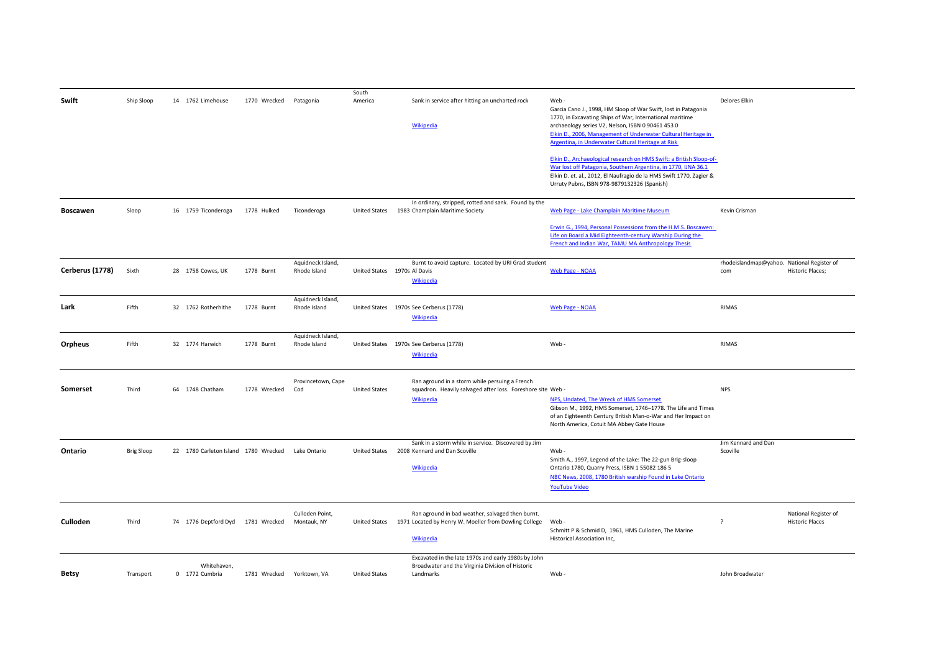| Swift           | Ship Sloop        | 14 1762 Limehouse                    | 1770 Wrecked | Patagonia          | South<br>America     | Sank in service after hitting an uncharted rock                                                         | Web-                                                                                                      | <b>Delores Elkin</b>                       |                         |
|-----------------|-------------------|--------------------------------------|--------------|--------------------|----------------------|---------------------------------------------------------------------------------------------------------|-----------------------------------------------------------------------------------------------------------|--------------------------------------------|-------------------------|
|                 |                   |                                      |              |                    |                      |                                                                                                         | Garcia Cano J., 1998, HM Sloop of War Swift, lost in Patagonia                                            |                                            |                         |
|                 |                   |                                      |              |                    |                      |                                                                                                         | 1770, in Excavating Ships of War, International maritime                                                  |                                            |                         |
|                 |                   |                                      |              |                    |                      | <b>Wikipedia</b>                                                                                        | archaeology series V2, Nelson, ISBN 0 90461 453 0                                                         |                                            |                         |
|                 |                   |                                      |              |                    |                      |                                                                                                         | Elkin D., 2006, Management of Underwater Cultural Heritage in                                             |                                            |                         |
|                 |                   |                                      |              |                    |                      |                                                                                                         | Argentina, in Underwater Cultural Heritage at Risk                                                        |                                            |                         |
|                 |                   |                                      |              |                    |                      |                                                                                                         | Elkin D., Archaeological research on HMS Swift: a British Sloop-of-                                       |                                            |                         |
|                 |                   |                                      |              |                    |                      |                                                                                                         | War lost off Patagonia, Southern Argentina, in 1770, IJNA 36.1                                            |                                            |                         |
|                 |                   |                                      |              |                    |                      |                                                                                                         | Elkin D. et. al., 2012, El Naufragio de la HMS Swift 1770, Zagier &                                       |                                            |                         |
|                 |                   |                                      |              |                    |                      |                                                                                                         | Urruty Pubns, ISBN 978-9879132326 (Spanish)                                                               |                                            |                         |
|                 |                   |                                      |              |                    |                      |                                                                                                         |                                                                                                           |                                            |                         |
| Boscawen        | Sloop             | 16 1759 Ticonderoga                  | 1778 Hulked  | Ticonderoga        |                      | In ordinary, stripped, rotted and sank. Found by the<br>United States 1983 Champlain Maritime Society   | Web Page - Lake Champlain Maritime Museum                                                                 | Kevin Crisman                              |                         |
|                 |                   |                                      |              |                    |                      |                                                                                                         |                                                                                                           |                                            |                         |
|                 |                   |                                      |              |                    |                      |                                                                                                         | Erwin G., 1994, Personal Possessions from the H.M.S. Boscawen:                                            |                                            |                         |
|                 |                   |                                      |              |                    |                      |                                                                                                         | Life on Board a Mid Eighteenth-century Warship During the                                                 |                                            |                         |
|                 |                   |                                      |              |                    |                      |                                                                                                         | French and Indian War, TAMU MA Anthropology Thesis                                                        |                                            |                         |
|                 |                   |                                      |              | Aquidneck Island,  |                      | Burnt to avoid capture. Located by URI Grad student                                                     |                                                                                                           | rhodeislandmap@yahoo. National Register of |                         |
| Cerberus (1778) | Sixth             | 28 1758 Cowes, UK                    | 1778 Burnt   | Rhode Island       |                      | United States 1970s Al Davis                                                                            | <b>Web Page - NOAA</b>                                                                                    | com                                        | <b>Historic Places;</b> |
|                 |                   |                                      |              |                    |                      | Wikipedia                                                                                               |                                                                                                           |                                            |                         |
|                 |                   |                                      |              |                    |                      |                                                                                                         |                                                                                                           |                                            |                         |
|                 |                   |                                      |              | Aquidneck Island,  |                      |                                                                                                         |                                                                                                           |                                            |                         |
| Lark            | Fifth             | 32 1762 Rotherhithe                  | 1778 Burnt   | Rhode Island       |                      | United States 1970s See Cerberus (1778)                                                                 | <b>Web Page - NOAA</b>                                                                                    | <b>RIMAS</b>                               |                         |
|                 |                   |                                      |              |                    |                      | <b>Wikipedia</b>                                                                                        |                                                                                                           |                                            |                         |
|                 |                   |                                      |              |                    |                      |                                                                                                         |                                                                                                           |                                            |                         |
|                 |                   |                                      |              | Aquidneck Island,  |                      |                                                                                                         |                                                                                                           | <b>RIMAS</b>                               |                         |
| Orpheus         | Fifth             | 32 1774 Harwich                      | 1778 Burnt   | Rhode Island       |                      | United States 1970s See Cerberus (1778)                                                                 | Web-                                                                                                      |                                            |                         |
|                 |                   |                                      |              |                    |                      | <b>Wikipedia</b>                                                                                        |                                                                                                           |                                            |                         |
|                 |                   |                                      |              |                    |                      |                                                                                                         |                                                                                                           |                                            |                         |
|                 |                   |                                      |              | Provincetown, Cape |                      | Ran aground in a storm while persuing a French                                                          |                                                                                                           |                                            |                         |
| Somerset        | Third             | 64 1748 Chatham                      | 1778 Wrecked | Cod                | <b>United States</b> | squadron. Heavily salvaged after loss. Foreshore site Web -                                             |                                                                                                           | <b>NPS</b>                                 |                         |
|                 |                   |                                      |              |                    |                      | <b>Wikipedia</b>                                                                                        | NPS, Undated, The Wreck of HMS Somerset                                                                   |                                            |                         |
|                 |                   |                                      |              |                    |                      |                                                                                                         | Gibson M., 1992, HMS Somerset, 1746-1778. The Life and Times                                              |                                            |                         |
|                 |                   |                                      |              |                    |                      |                                                                                                         | of an Eighteenth Century British Man-o-War and Her Impact on<br>North America, Cotuit MA Abbey Gate House |                                            |                         |
|                 |                   |                                      |              |                    |                      |                                                                                                         |                                                                                                           |                                            |                         |
|                 |                   |                                      |              |                    |                      | Sank in a storm while in service. Discovered by Jim                                                     |                                                                                                           | Jim Kennard and Dan                        |                         |
| Ontario         | <b>Brig Sloop</b> | 22 1780 Carleton Island 1780 Wrecked |              | Lake Ontario       | <b>United States</b> | 2008 Kennard and Dan Scoville                                                                           | Web-                                                                                                      | Scoville                                   |                         |
|                 |                   |                                      |              |                    |                      |                                                                                                         | Smith A., 1997, Legend of the Lake: The 22-gun Brig-sloop                                                 |                                            |                         |
|                 |                   |                                      |              |                    |                      | Wikipedia                                                                                               | Ontario 1780, Quarry Press, ISBN 1 55082 186 5                                                            |                                            |                         |
|                 |                   |                                      |              |                    |                      |                                                                                                         | NBC News, 2008, 1780 British warship Found in Lake Ontario                                                |                                            |                         |
|                 |                   |                                      |              |                    |                      |                                                                                                         | <b>YouTube Video</b>                                                                                      |                                            |                         |
|                 |                   |                                      |              |                    |                      |                                                                                                         |                                                                                                           |                                            |                         |
|                 |                   |                                      |              | Culloden Point,    |                      | Ran aground in bad weather, salvaged then burnt.                                                        |                                                                                                           |                                            | National Register of    |
| Culloden        | Third             | 74 1776 Deptford Dyd 1781 Wrecked    |              | Montauk, NY        |                      | United States 1971 Located by Henry W. Moeller from Dowling College                                     | Web-                                                                                                      | $\overline{\phantom{a}}$                   | <b>Historic Places</b>  |
|                 |                   |                                      |              |                    |                      |                                                                                                         | Schmitt P & Schmid D, 1961, HMS Culloden, The Marine                                                      |                                            |                         |
|                 |                   |                                      |              |                    |                      | Wikipedia                                                                                               | Historical Association Inc,                                                                               |                                            |                         |
|                 |                   |                                      |              |                    |                      |                                                                                                         |                                                                                                           |                                            |                         |
|                 |                   | Whitehaven,                          |              |                    |                      | Excavated in the late 1970s and early 1980s by John<br>Broadwater and the Virginia Division of Historic |                                                                                                           |                                            |                         |
| <b>Betsy</b>    | Transport         | 0 1772 Cumbria                       | 1781 Wrecked | Yorktown, VA       | <b>United States</b> | Landmarks                                                                                               | Web-                                                                                                      | John Broadwater                            |                         |
|                 |                   |                                      |              |                    |                      |                                                                                                         |                                                                                                           |                                            |                         |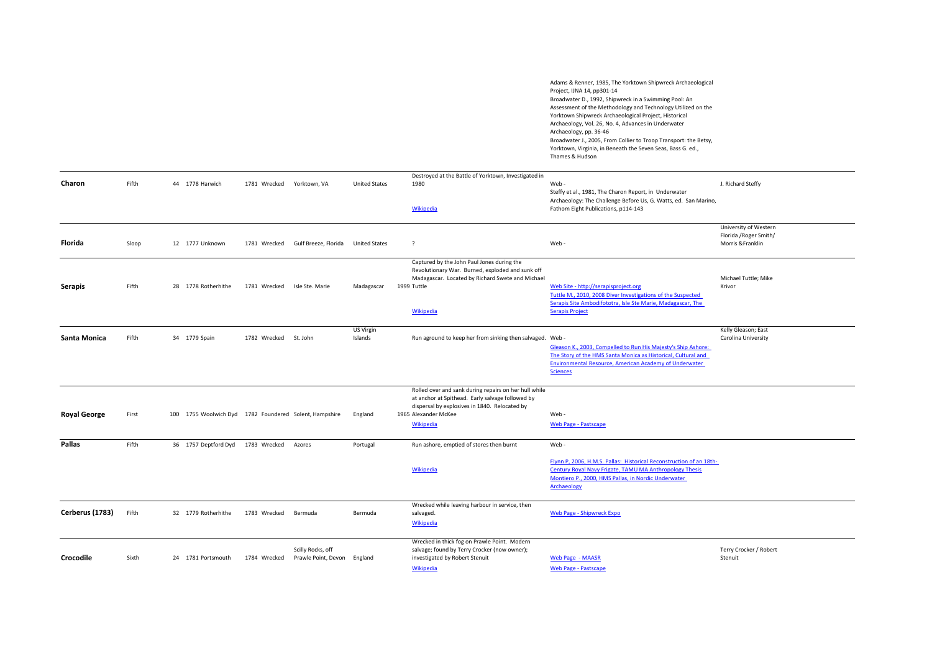Adams & Renner, 1985, The Yorktown Shipwreck Archaeological Project, IJNA 14, pp301‐14 Broadwater D., 1992, Shipwreck in <sup>a</sup> Swimming Pool: An Assessment of the Methodology and Technology Utilized on the Yorktown Shipwreck Archaeological Project, Historical Archaeology, Vol. 26, No. 4, Advances in Underwater Archaeology, pp. 36‐46 Broadwater J., 2005, From Collier to Troop Transport: the Betsy, Yorktown, Virginia, in Beneath the Seven Seas, Bass G. ed., Thames & Hudson

| Charon              | Fifth | 44 1778 Harwich                                        | 1781 Wrecked | Yorktown, VA                             | <b>United States</b> | Destroyed at the Battle of Yorktown, Investigated in<br>1980<br>Wikipedia                                                                                                                              | Web-<br>Steffy et al., 1981, The Charon Report, in Underwater<br>Archaeology: The Challenge Before Us, G. Watts, ed. San Marino,<br>Fathom Eight Publications, p114-143                                             | J. Richard Steffy                                                    |
|---------------------|-------|--------------------------------------------------------|--------------|------------------------------------------|----------------------|--------------------------------------------------------------------------------------------------------------------------------------------------------------------------------------------------------|---------------------------------------------------------------------------------------------------------------------------------------------------------------------------------------------------------------------|----------------------------------------------------------------------|
| Florida             | Sloop | 12 1777 Unknown                                        | 1781 Wrecked | Gulf Breeze, Florida                     | <b>United States</b> | $\overline{\phantom{a}}$                                                                                                                                                                               | Web-                                                                                                                                                                                                                | University of Western<br>Florida / Roger Smith/<br>Morris & Franklin |
| <b>Serapis</b>      | Fifth | 28 1778 Rotherhithe                                    | 1781 Wrecked | Isle Ste. Marie                          | Madagascar           | Captured by the John Paul Jones during the<br>Revolutionary War. Burned, exploded and sunk off<br>Madagascar. Located by Richard Swete and Michael<br>1999 Tuttle<br>Wikipedia                         | Web Site - http://serapisproject.org<br>Tuttle M., 2010, 2008 Diver Investigations of the Suspected<br>Serapis Site Ambodifototra, Isle Ste Marie, Madagascar, The<br><b>Serapis Project</b>                        | Michael Tuttle; Mike<br>Krivor                                       |
| Santa Monica        | Fifth | 34 1779 Spain                                          | 1782 Wrecked | St. John                                 | US Virgin<br>Islands | Run aground to keep her from sinking then salvaged. Web -                                                                                                                                              | Gleason K., 2003, Compelled to Run His Majesty's Ship Ashore:<br>The Story of the HMS Santa Monica as Historical, Cultural and<br><b>Environmental Resource, American Academy of Underwater</b><br><b>Sciences</b>  | Kelly Gleason; East<br>Carolina University                           |
| <b>Royal George</b> | First | 100 1755 Woolwich Dyd 1782 Foundered Solent, Hampshire |              |                                          | England              | Rolled over and sank during repairs on her hull while<br>at anchor at Spithead. Early salvage followed by<br>dispersal by explosives in 1840. Relocated by<br>1965 Alexander McKee<br><b>Wikipedia</b> | Web-<br><b>Web Page - Pastscape</b>                                                                                                                                                                                 |                                                                      |
| Pallas              | Fifth | 36 1757 Deptford Dyd 1783 Wrecked                      |              | Azores                                   | Portugal             | Run ashore, emptied of stores then burnt<br>Wikipedia                                                                                                                                                  | Web-<br>Flynn P, 2006, H.M.S. Pallas: Historical Reconstruction of an 18th-<br>Century Royal Navy Frigate, TAMU MA Anthropology Thesis<br>Montiero P., 2000, HMS Pallas, in Nordic Underwater<br><b>Archaeology</b> |                                                                      |
| Cerberus (1783)     | Fifth | 32 1779 Rotherhithe                                    | 1783 Wrecked | Bermuda                                  | Bermuda              | Wrecked while leaving harbour in service, then<br>salvaged.<br><b>Wikipedia</b>                                                                                                                        | Web Page - Shipwreck Expo                                                                                                                                                                                           |                                                                      |
| Crocodile           | Sixth | 24 1781 Portsmouth                                     | 1784 Wrecked | Scilly Rocks, off<br>Prawle Point, Devon | England              | Wrecked in thick fog on Prawle Point. Modern<br>salvage; found by Terry Crocker (now owner);<br>investigated by Robert Stenuit<br>Wikipedia                                                            | <b>Web Page - MAASR</b><br><b>Web Page - Pastscape</b>                                                                                                                                                              | Terry Crocker / Robert<br>Stenuit                                    |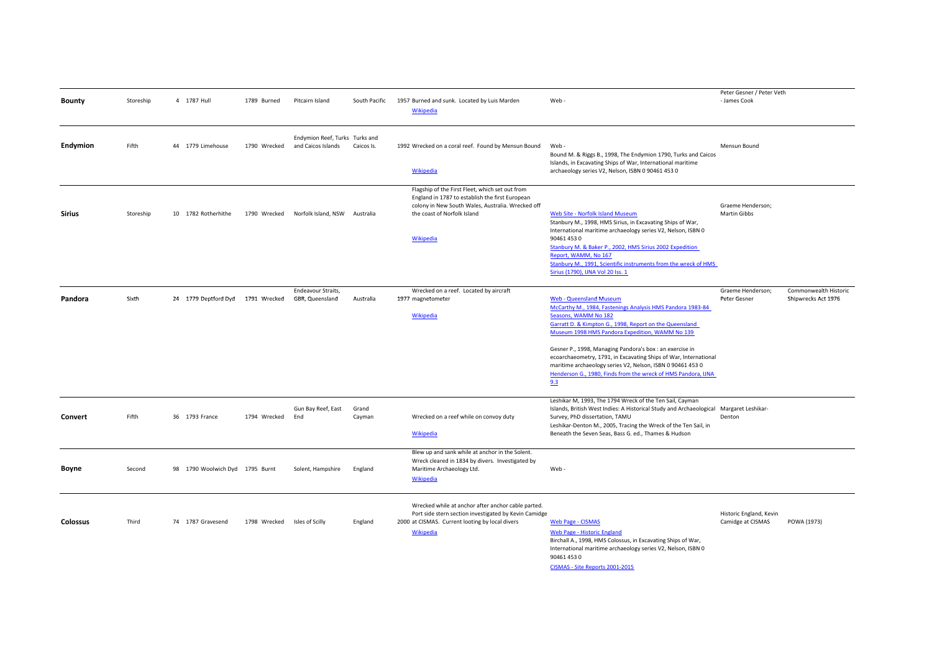| <b>Bounty</b>   | Storeship | 4 1787 Hull                       | 1789 Burned                  | Pitcairn Island                                      | South Pacific   | 1957 Burned and sunk. Located by Luis Marden<br>Wikipedia                                                                                                                                                  | Web-                                                                                                                                                                                                                                                                                                                                                                                                                                                                                                     | Peter Gesner / Peter Veth<br>- James Cook    |                                              |
|-----------------|-----------|-----------------------------------|------------------------------|------------------------------------------------------|-----------------|------------------------------------------------------------------------------------------------------------------------------------------------------------------------------------------------------------|----------------------------------------------------------------------------------------------------------------------------------------------------------------------------------------------------------------------------------------------------------------------------------------------------------------------------------------------------------------------------------------------------------------------------------------------------------------------------------------------------------|----------------------------------------------|----------------------------------------------|
| Endymion        | Fifth     | 44 1779 Limehouse                 | 1790 Wrecked                 | Endymion Reef, Turks Turks and<br>and Caicos Islands | Caicos Is.      | 1992 Wrecked on a coral reef. Found by Mensun Bound<br><b>Wikipedia</b>                                                                                                                                    | Web -<br>Bound M. & Riggs B., 1998, The Endymion 1790, Turks and Caicos<br>Islands, in Excavating Ships of War, International maritime<br>archaeology series V2, Nelson, ISBN 0 90461 453 0                                                                                                                                                                                                                                                                                                              | Mensun Bound                                 |                                              |
| <b>Sirius</b>   | Storeship | 10 1782 Rotherhithe               | 1790 Wrecked                 | Norfolk Island, NSW Australia                        |                 | Flagship of the First Fleet, which set out from<br>England in 1787 to establish the first European<br>colony in New South Wales, Australia. Wrecked off<br>the coast of Norfolk Island<br><b>Wikipedia</b> | <b>Web Site - Norfolk Island Museum</b><br>Stanbury M., 1998, HMS Sirius, in Excavating Ships of War,<br>International maritime archaeology series V2, Nelson, ISBN 0<br>90461 453 0<br>Stanbury M. & Baker P., 2002, HMS Sirius 2002 Expedition<br>Report, WAMM, No 167<br>Stanbury M., 1991, Scientific instruments from the wreck of HMS<br>Sirius (1790), IJNA Vol 20 Iss. 1                                                                                                                         | Graeme Henderson;<br><b>Martin Gibbs</b>     |                                              |
| Pandora         | Sixth     | 24 1779 Deptford Dyd 1791 Wrecked |                              | Endeavour Straits,<br>GBR, Queensland                | Australia       | Wrecked on a reef. Located by aircraft<br>1977 magnetometer<br>Wikipedia                                                                                                                                   | <b>Web - Queensland Museum</b><br>McCarthy M., 1984, Fastenings Analysis HMS Pandora 1983-84<br>Seasons, WAMM No 182<br>Garratt D. & Kimpton G., 1998, Report on the Queensland<br>Museum 1998 HMS Pandora Expedition, WAMM No 139<br>Gesner P., 1998, Managing Pandora's box : an exercise in<br>ecoarchaeometry, 1791, in Excavating Ships of War, International<br>maritime archaeology series V2, Nelson, ISBN 0 90461 453 0<br>Henderson G., 1980, Finds from the wreck of HMS Pandora, IJNA<br>9.3 | Graeme Henderson;<br>Peter Gesner            | Commonwealth Historic<br>Shipwrecks Act 1976 |
| Convert         | Fifth     | 36 1793 France                    | 1794 Wrecked                 | Gun Bay Reef, East<br>End                            | Grand<br>Cayman | Wrecked on a reef while on convoy duty<br>Wikipedia                                                                                                                                                        | Leshikar M, 1993, The 1794 Wreck of the Ten Sail, Cayman<br>Islands, British West Indies: A Historical Study and Archaeological Margaret Leshikar-<br>Survey, PhD dissertation, TAMU<br>Leshikar-Denton M., 2005, Tracing the Wreck of the Ten Sail, in<br>Beneath the Seven Seas, Bass G. ed., Thames & Hudson                                                                                                                                                                                          | Denton                                       |                                              |
| Boyne           | Second    | 98 1790 Woolwich Dyd 1795 Burnt   |                              | Solent, Hampshire                                    | England         | Blew up and sank while at anchor in the Solent.<br>Wreck cleared in 1834 by divers. Investigated by<br>Maritime Archaeology Ltd.<br><b>Wikipedia</b>                                                       | Web-                                                                                                                                                                                                                                                                                                                                                                                                                                                                                                     |                                              |                                              |
| <b>Colossus</b> | Third     | 74 1787 Gravesend                 | 1798 Wrecked Isles of Scilly |                                                      | England         | Wrecked while at anchor after anchor cable parted.<br>Port side stern section investigated by Kevin Camidge<br>2000 at CISMAS. Current looting by local divers<br>Wikipedia                                | <b>Web Page - CISMAS</b><br>Web Page - Historic England<br>Birchall A., 1998, HMS Colossus, in Excavating Ships of War,<br>International maritime archaeology series V2, Nelson, ISBN 0<br>90461 453 0<br>CISMAS - Site Reports 2001-2015                                                                                                                                                                                                                                                                | Historic England, Kevin<br>Camidge at CISMAS | POWA (1973)                                  |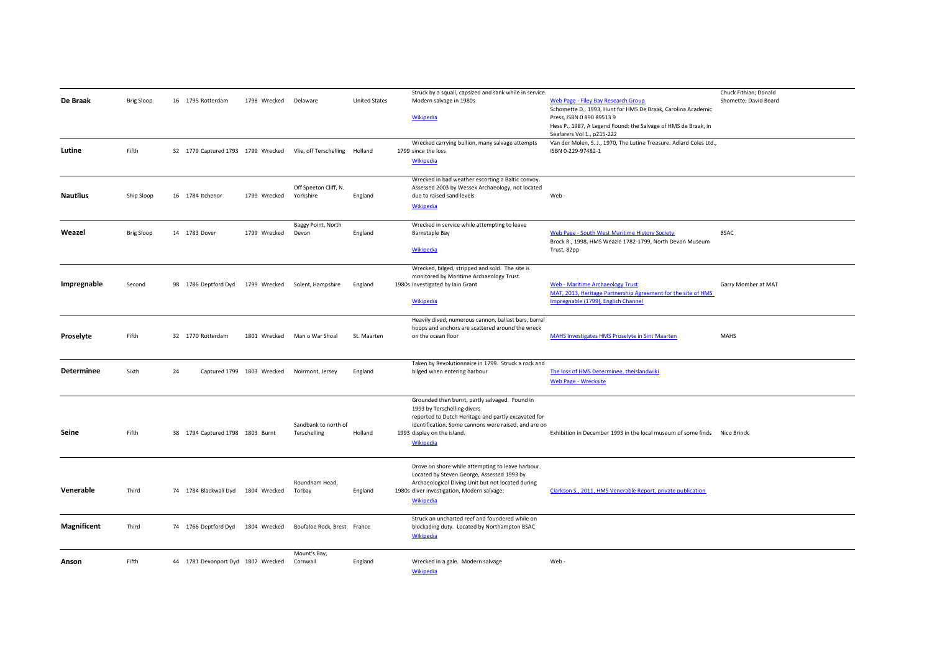| De Braak           | <b>Brig Sloop</b> |    | 16 1795 Rotterdam                  | 1798 Wrecked               | Delaware                                                  | <b>United States</b> | Struck by a squall, capsized and sank while in service.<br>Modern salvage in 1980s                                                                                                                                                       | Web Page - Filey Bay Research Group                                                                                                                                                       | Chuck Fithian; Donald<br>Shomette; David Beard |
|--------------------|-------------------|----|------------------------------------|----------------------------|-----------------------------------------------------------|----------------------|------------------------------------------------------------------------------------------------------------------------------------------------------------------------------------------------------------------------------------------|-------------------------------------------------------------------------------------------------------------------------------------------------------------------------------------------|------------------------------------------------|
|                    |                   |    |                                    |                            |                                                           |                      | Wikipedia                                                                                                                                                                                                                                | Schomette D., 1993, Hunt for HMS De Braak, Carolina Academic<br>Press, ISBN 0 890 89513 9<br>Hess P., 1987, A Legend Found: the Salvage of HMS de Braak, in<br>Seafarers Vol 1., p215-222 |                                                |
| Lutine             | Fifth             |    |                                    |                            | 32 1779 Captured 1793 1799 Wrecked Vlie, off Terschelling | Holland              | Wrecked carrying bullion, many salvage attempts<br>1799 since the loss<br><b>Wikipedia</b>                                                                                                                                               | Van der Molen, S. J., 1970, The Lutine Treasure. Adlard Coles Ltd.,<br>ISBN 0-229-97482-1                                                                                                 |                                                |
| Nautilus           | Ship Sloop        |    | 16 1784 Itchenor                   | 1799 Wrecked               | Off Speeton Cliff, N.<br>Yorkshire                        | England              | Wrecked in bad weather escorting a Baltic convoy.<br>Assessed 2003 by Wessex Archaeology, not located<br>due to raised sand levels<br>Wikipedia                                                                                          | Web                                                                                                                                                                                       |                                                |
| Weazel             | <b>Brig Sloop</b> |    | 14 1783 Dover                      | 1799 Wrecked               | Baggy Point, North<br>Devon                               | England              | Wrecked in service while attempting to leave<br>Barnstaple Bay<br>Wikipedia                                                                                                                                                              | Web Page - South West Maritime History Society<br>Brock R., 1998, HMS Weazle 1782-1799, North Devon Museum<br>Trust, 82pp                                                                 | <b>BSAC</b>                                    |
| Impregnable        | Second            |    | 98 1786 Deptford Dyd               |                            | 1799 Wrecked Solent, Hampshire                            | England              | Wrecked, bilged, stripped and sold. The site is<br>monitored by Maritime Archaeology Trust.<br>1980s Investigated by Iain Grant<br>Wikipedia                                                                                             | <b>Web - Maritime Archaeology Trust</b><br>MAT, 2013, Heritage Partnership Agreement for the site of HMS<br>Impregnable (1799), English Channel                                           | Garry Momber at MAT                            |
| Proselyte          | Fifth             |    | 32 1770 Rotterdam                  |                            | 1801 Wrecked Man o War Shoal                              | St. Maarten          | Heavily dived, numerous cannon, ballast bars, barrel<br>hoops and anchors are scattered around the wreck<br>on the ocean floor                                                                                                           | MAHS Investigates HMS Proselyte in Sint Maarten                                                                                                                                           | <b>MAHS</b>                                    |
| Determinee         | Sixth             | 24 |                                    | Captured 1799 1803 Wrecked | Noirmont, Jersey                                          | England              | Taken by Revolutionnaire in 1799. Struck a rock and<br>bilged when entering harbour                                                                                                                                                      | The loss of HMS Determinee, theislandwiki<br><b>Web Page - Wrecksite</b>                                                                                                                  |                                                |
| Seine              | Fifth             |    | 38 1794 Captured 1798 1803 Burnt   |                            | Sandbank to north of<br>Terschelling                      | Holland              | Grounded then burnt, partly salvaged. Found in<br>1993 by Terschelling divers<br>reported to Dutch Heritage and partly excavated for<br>identification. Some cannons were raised, and are on<br>1993 display on the island.<br>Wikipedia | Exhibition in December 1993 in the local museum of some finds Nico Brinck                                                                                                                 |                                                |
| Venerable          | Third             |    | 74 1784 Blackwall Dyd              | 1804 Wrecked               | Roundham Head.<br>Torbay                                  | England              | Drove on shore while attempting to leave harbour.<br>Located by Steven George, Assessed 1993 by<br>Archaeological Diving Unit but not located during<br>1980s diver investigation, Modern salvage;<br>Wikipedia                          | Clarkson S., 2011, HMS Venerable Report, private publication                                                                                                                              |                                                |
| <b>Magnificent</b> | Third             |    | 74 1766 Deptford Dyd               | 1804 Wrecked               | Boufaloe Rock, Brest France                               |                      | Struck an uncharted reef and foundered while on<br>blockading duty. Located by Northampton BSAC<br>Wikipedia                                                                                                                             |                                                                                                                                                                                           |                                                |
| Anson              | Fifth             |    | 44 1781 Devonport Dyd 1807 Wrecked |                            | Mount's Bay,<br>Cornwall                                  | England              | Wrecked in a gale. Modern salvage<br><b>Wikipedia</b>                                                                                                                                                                                    | Web-                                                                                                                                                                                      |                                                |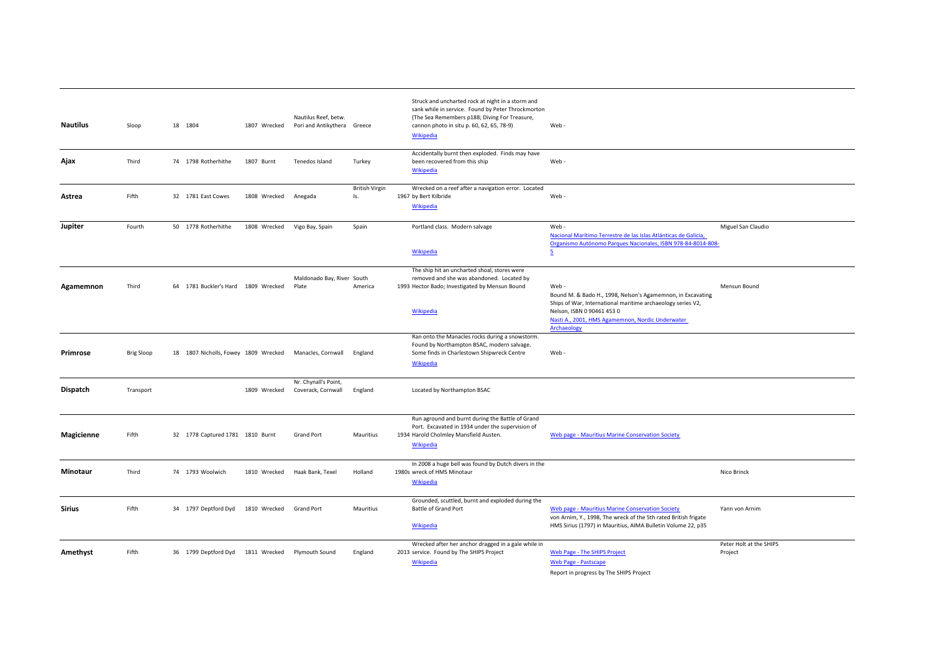| <b>Nautilus</b> | Sloop             | 18 1804                              | 1807 Wrecked | Nautilus Reef, betw.<br>Pori and Antikythera Greece |                              | Struck and uncharted rock at night in a storm and<br>sank while in service. Found by Peter Throckmorton<br>(The Sea Remembers p188; Diving For Treasure,<br>cannon photo in situ p. 60, 62, 65, 78-9)<br><b>Wikipedia</b> | Web-                                                                                                                                                                                                                                |                                    |
|-----------------|-------------------|--------------------------------------|--------------|-----------------------------------------------------|------------------------------|---------------------------------------------------------------------------------------------------------------------------------------------------------------------------------------------------------------------------|-------------------------------------------------------------------------------------------------------------------------------------------------------------------------------------------------------------------------------------|------------------------------------|
| Ajax            | Third             | 74 1798 Rotherhithe                  | 1807 Burnt   | Tenedos Island                                      | Turkey                       | Accidentally burnt then exploded. Finds may have<br>been recovered from this ship<br>Wikipedia                                                                                                                            | Web-                                                                                                                                                                                                                                |                                    |
| Astrea          | Fifth             | 32 1781 East Cowes                   | 1808 Wrecked | Anegada                                             | <b>British Virgin</b><br>Is. | Wrecked on a reef after a navigation error. Located<br>1967 by Bert Kilbride<br>Wikipedia                                                                                                                                 | Web-                                                                                                                                                                                                                                |                                    |
| Jupiter         | Fourth            | 50 1778 Rotherhithe                  | 1808 Wrecked | Vigo Bay, Spain                                     | Spain                        | Portland class. Modern salvage<br>Wikipedia                                                                                                                                                                               | Web-<br>Nacional Marítimo Terrestre de las Islas Atlánticas de Galicia,<br>Organismo Autónomo Parques Nacionales, ISBN 978-84-8014-808-<br>5                                                                                        | Miguel San Claudio                 |
| Agamemnon       | Third             | 64 1781 Buckler's Hard 1809 Wrecked  |              | Maldonado Bay, River South<br>Plate                 | America                      | The ship hit an uncharted shoal, stores were<br>removed and she was abandoned. Located by<br>1993 Hector Bado; Investigated by Mensun Bound<br>Wikipedia                                                                  | Web-<br>Bound M. & Bado H., 1998, Nelson's Agamemnon, in Excavating<br>Ships of War, International maritime archaeology series V2,<br>Nelson, ISBN 0 90461 453 0<br>Nasti A., 2001, HMS Agamemnon, Nordic Underwater<br>Archaeology | Mensun Bound                       |
| Primrose        | <b>Brig Sloop</b> | 18 1807 Nicholls, Fowey 1809 Wrecked |              | Manacles, Cornwall                                  | England                      | Ran onto the Manacles rocks during a snowstorm.<br>Found by Northampton BSAC, modern salvage.<br>Some finds in Charlestown Shipwreck Centre<br><b>Wikipedia</b>                                                           | Web -                                                                                                                                                                                                                               |                                    |
| Dispatch        | Transport         |                                      | 1809 Wrecked | Nr. Chynall's Point,<br>Coverack, Cornwall          | England                      | Located by Northampton BSAC                                                                                                                                                                                               |                                                                                                                                                                                                                                     |                                    |
| Magicienne      | Fifth             | 32 1778 Captured 1781 1810 Burnt     |              | <b>Grand Port</b>                                   | Mauritius                    | Run aground and burnt during the Battle of Grand<br>Port. Excavated in 1934 under the supervision of<br>1934 Harold Cholmley Mansfield Austen.<br>Wikipedia                                                               | Web page - Mauritius Marine Conservation Society                                                                                                                                                                                    |                                    |
| Minotaur        | Third             | 74 1793 Woolwich                     | 1810 Wrecked | Haak Bank, Texel                                    | Holland                      | In 2008 a huge bell was found by Dutch divers in the<br>1980s wreck of HMS Minotaur<br>Wikipedia                                                                                                                          |                                                                                                                                                                                                                                     | Nico Brinck                        |
| <b>Sirius</b>   | Fifth             | 34 1797 Deptford Dyd                 | 1810 Wrecked | <b>Grand Port</b>                                   | Mauritius                    | Grounded, scuttled, burnt and exploded during the<br>Battle of Grand Port<br>Wikipedia                                                                                                                                    | Web page - Mauritius Marine Conservation Society<br>von Arnim, Y., 1998, The wreck of the 5th rated British frigate<br>HMS Sirius (1797) in Mauritius, AIMA Bulletin Volume 22, p35                                                 | Yann von Arnim                     |
| Amethyst        | Fifth             | 36 1799 Deptford Dyd                 | 1811 Wrecked | Plymouth Sound                                      | England                      | Wrecked after her anchor dragged in a gale while in<br>2013 service. Found by The SHIPS Project<br>Wikipedia                                                                                                              | Web Page - The SHIPS Project<br>Web Page - Pastscape<br>Report in progress by The SHIPS Project                                                                                                                                     | Peter Holt at the SHIPS<br>Project |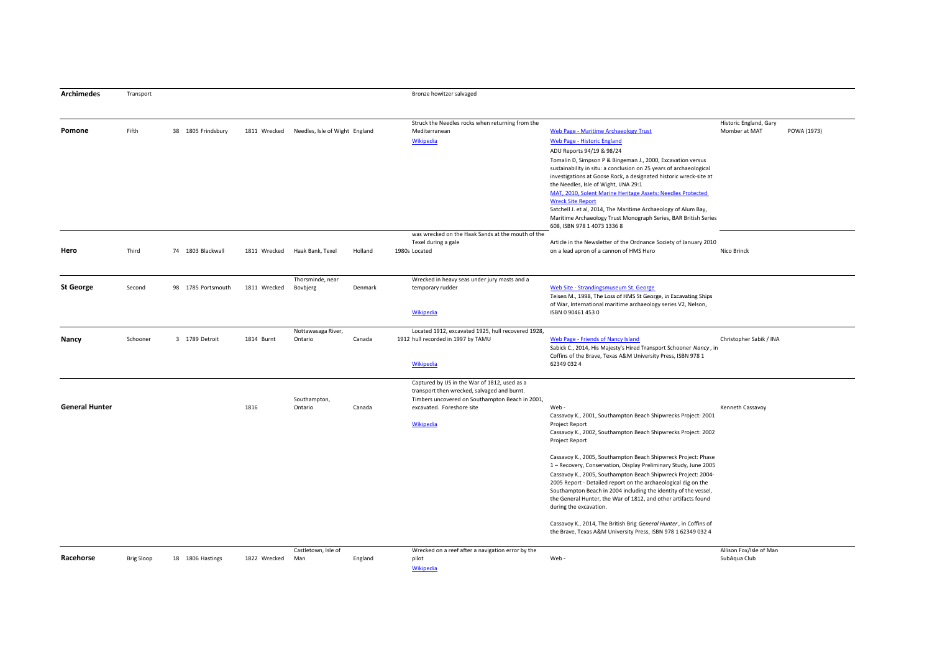| <b>Archimedes</b>     | Transport         |                    |              |                                |         | Bronze howitzer salvaged                           |                                                                                                                                    |                         |             |
|-----------------------|-------------------|--------------------|--------------|--------------------------------|---------|----------------------------------------------------|------------------------------------------------------------------------------------------------------------------------------------|-------------------------|-------------|
|                       |                   |                    |              |                                |         | Struck the Needles rocks when returning from the   |                                                                                                                                    | Historic England, Gary  |             |
| Pomone                | Fifth             | 38 1805 Frindsbury | 1811 Wrecked | Needles, Isle of Wight England |         | Mediterranean                                      | Web Page - Maritime Archaeology Trust                                                                                              | Momber at MAT           | POWA (1973) |
|                       |                   |                    |              |                                |         | Wikipedia                                          | Web Page - Historic England                                                                                                        |                         |             |
|                       |                   |                    |              |                                |         |                                                    | ADU Reports 94/19 & 98/24                                                                                                          |                         |             |
|                       |                   |                    |              |                                |         |                                                    | Tomalin D, Simpson P & Bingeman J., 2000, Excavation versus                                                                        |                         |             |
|                       |                   |                    |              |                                |         |                                                    | sustainability in situ: a conclusion on 25 years of archaeological                                                                 |                         |             |
|                       |                   |                    |              |                                |         |                                                    | investigations at Goose Rock, a designated historic wreck-site at                                                                  |                         |             |
|                       |                   |                    |              |                                |         |                                                    | the Needles, Isle of Wight, IJNA 29:1<br>MAT, 2010, Solent Marine Heritage Assets: Needles Protected                               |                         |             |
|                       |                   |                    |              |                                |         |                                                    | <b>Wreck Site Report</b>                                                                                                           |                         |             |
|                       |                   |                    |              |                                |         |                                                    | Satchell J. et al, 2014, The Maritime Archaeology of Alum Bay,                                                                     |                         |             |
|                       |                   |                    |              |                                |         |                                                    | Maritime Archaeology Trust Monograph Series, BAR British Series                                                                    |                         |             |
|                       |                   |                    |              |                                |         |                                                    | 608, ISBN 978 1 4073 1336 8                                                                                                        |                         |             |
|                       |                   |                    |              |                                |         | was wrecked on the Haak Sands at the mouth of the  |                                                                                                                                    |                         |             |
|                       |                   |                    |              |                                |         | Texel during a gale                                | Article in the Newsletter of the Ordnance Society of January 2010                                                                  |                         |             |
| Hero                  | Third             | 74 1803 Blackwall  | 1811 Wrecked | Haak Bank, Texel               | Holland | 1980s Located                                      | on a lead apron of a cannon of HMS Hero                                                                                            | Nico Brinck             |             |
|                       |                   |                    |              | Thorsminde, near               |         | Wrecked in heavy seas under jury masts and a       |                                                                                                                                    |                         |             |
| <b>St George</b>      | Second            | 98 1785 Portsmouth | 1811 Wrecked | Bovbjerg                       | Denmark | temporary rudder                                   | Web Site - Strandingsmuseum St. George                                                                                             |                         |             |
|                       |                   |                    |              |                                |         |                                                    | Teisen M., 1998, The Loss of HMS St George, in Excavating Ships                                                                    |                         |             |
|                       |                   |                    |              |                                |         |                                                    | of War, International maritime archaeology series V2, Nelson,                                                                      |                         |             |
|                       |                   |                    |              |                                |         | Wikipedia                                          | ISBN 0904614530                                                                                                                    |                         |             |
|                       |                   |                    |              | Nottawasaga River,             |         | Located 1912, excavated 1925, hull recovered 1928, |                                                                                                                                    |                         |             |
| Nancy                 | Schooner          | 3 1789 Detroit     | 1814 Burnt   | Ontario                        | Canada  | 1912 hull recorded in 1997 by TAMU                 | Web Page - Friends of Nancy Island                                                                                                 | Christopher Sabik / INA |             |
|                       |                   |                    |              |                                |         |                                                    | Sabick C., 2014, His Majesty's Hired Transport Schooner Nancy, in<br>Coffins of the Brave, Texas A&M University Press, ISBN 978 1  |                         |             |
|                       |                   |                    |              |                                |         | Wikipedia                                          | 62349 032 4                                                                                                                        |                         |             |
|                       |                   |                    |              |                                |         |                                                    |                                                                                                                                    |                         |             |
|                       |                   |                    |              |                                |         | Captured by US in the War of 1812, used as a       |                                                                                                                                    |                         |             |
|                       |                   |                    |              |                                |         | transport then wrecked, salvaged and burnt.        |                                                                                                                                    |                         |             |
|                       |                   |                    |              | Southampton,                   |         | Timbers uncovered on Southampton Beach in 2001,    |                                                                                                                                    |                         |             |
| <b>General Hunter</b> |                   |                    | 1816         | Ontario                        | Canada  | excavated. Foreshore site                          | Web-                                                                                                                               | Kenneth Cassavoy        |             |
|                       |                   |                    |              |                                |         | Wikipedia                                          | Cassavoy K., 2001, Southampton Beach Shipwrecks Project: 2001<br>Project Report                                                    |                         |             |
|                       |                   |                    |              |                                |         |                                                    | Cassavoy K., 2002, Southampton Beach Shipwrecks Project: 2002                                                                      |                         |             |
|                       |                   |                    |              |                                |         |                                                    | Project Report                                                                                                                     |                         |             |
|                       |                   |                    |              |                                |         |                                                    | Cassavoy K., 2005, Southampton Beach Shipwreck Project: Phase                                                                      |                         |             |
|                       |                   |                    |              |                                |         |                                                    | 1 - Recovery, Conservation, Display Preliminary Study, June 2005                                                                   |                         |             |
|                       |                   |                    |              |                                |         |                                                    | Cassavoy K., 2005, Southampton Beach Shipwreck Project: 2004-                                                                      |                         |             |
|                       |                   |                    |              |                                |         |                                                    | 2005 Report - Detailed report on the archaeological dig on the                                                                     |                         |             |
|                       |                   |                    |              |                                |         |                                                    | Southampton Beach in 2004 including the identity of the vessel,                                                                    |                         |             |
|                       |                   |                    |              |                                |         |                                                    | the General Hunter, the War of 1812, and other artifacts found<br>during the excavation.                                           |                         |             |
|                       |                   |                    |              |                                |         |                                                    |                                                                                                                                    |                         |             |
|                       |                   |                    |              |                                |         |                                                    | Cassavoy K., 2014, The British Brig General Hunter, in Coffins of<br>the Brave, Texas A&M University Press, ISBN 978 1 62349 032 4 |                         |             |
|                       |                   |                    |              |                                |         |                                                    |                                                                                                                                    |                         |             |
|                       |                   |                    |              | Castletown, Isle of            |         | Wrecked on a reef after a navigation error by the  |                                                                                                                                    | Allison Fox/Isle of Man |             |
| Racehorse             | <b>Brig Sloop</b> | 18 1806 Hastings   | 1822 Wrecked | Man                            | England | pilot                                              | Web-                                                                                                                               | SubAqua Club            |             |
|                       |                   |                    |              |                                |         | Wikipedia                                          |                                                                                                                                    |                         |             |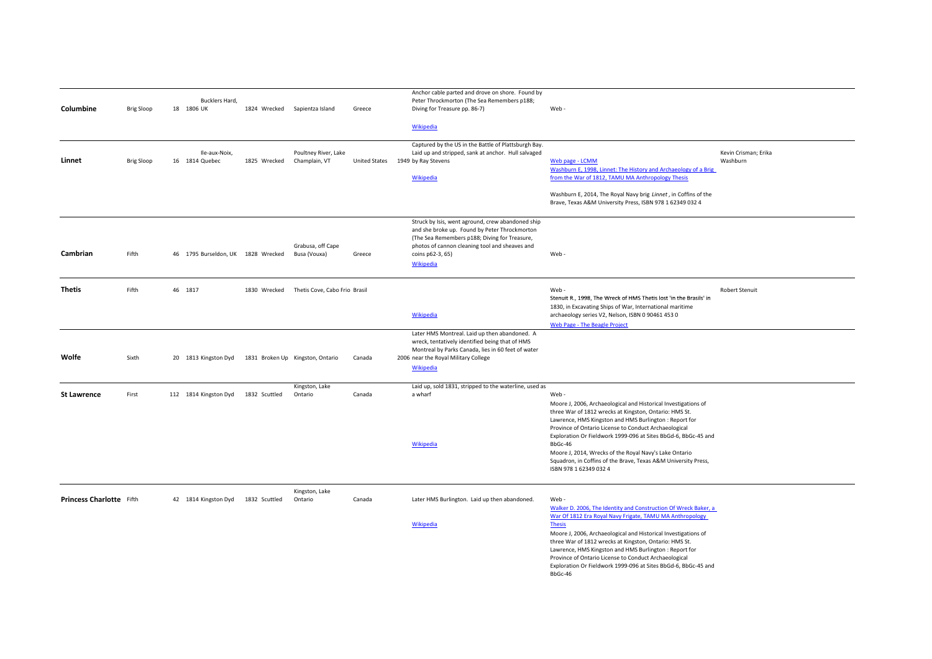| Columbine                       | <b>Brig Sloop</b> |         | Bucklers Hard,<br>18 1806 UK       |               | 1824 Wrecked Sapientza Island         | Greece               | Anchor cable parted and drove on shore. Found by<br>Peter Throckmorton (The Sea Remembers p188;<br>Diving for Treasure pp. 86-7)                                                                                                              | Web-                                                                                                                                                                                                                                                                                                                                                                                                                                                                                   |                                  |
|---------------------------------|-------------------|---------|------------------------------------|---------------|---------------------------------------|----------------------|-----------------------------------------------------------------------------------------------------------------------------------------------------------------------------------------------------------------------------------------------|----------------------------------------------------------------------------------------------------------------------------------------------------------------------------------------------------------------------------------------------------------------------------------------------------------------------------------------------------------------------------------------------------------------------------------------------------------------------------------------|----------------------------------|
|                                 |                   |         |                                    |               |                                       |                      | Wikipedia                                                                                                                                                                                                                                     |                                                                                                                                                                                                                                                                                                                                                                                                                                                                                        |                                  |
| Linnet                          | <b>Brig Sloop</b> |         | Ile-aux-Noix,<br>16 1814 Quebec    | 1825 Wrecked  | Poultney River, Lake<br>Champlain, VT | <b>United States</b> | Captured by the US in the Battle of Plattsburgh Bay.<br>Laid up and stripped, sank at anchor. Hull salvaged<br>1949 by Ray Stevens<br>Wikipedia                                                                                               | Web page - LCMM<br>Washburn E, 1998, Linnet: The History and Archaeology of a Brig<br>from the War of 1812, TAMU MA Anthropology Thesis<br>Washburn E, 2014, The Royal Navy brig Linnet, in Coffins of the<br>Brave, Texas A&M University Press, ISBN 978 1 62349 032 4                                                                                                                                                                                                                | Kevin Crisman; Erika<br>Washburn |
| Cambrian                        | Fifth             |         | 46 1795 Burseldon, UK 1828 Wrecked |               | Grabusa, off Cape<br>Busa (Vouxa)     | Greece               | Struck by Isis, went aground, crew abandoned ship<br>and she broke up. Found by Peter Throckmorton<br>(The Sea Remembers p188; Diving for Treasure,<br>photos of cannon cleaning tool and sheaves and<br>coins p62-3, 65)<br><b>Wikipedia</b> | Web-                                                                                                                                                                                                                                                                                                                                                                                                                                                                                   |                                  |
| <b>Thetis</b>                   | Fifth             | 46 1817 |                                    | 1830 Wrecked  | Thetis Cove, Cabo Frio Brasil         |                      | <b>Wikipedia</b>                                                                                                                                                                                                                              | Web-<br>Stenuit R., 1998, The Wreck of HMS Thetis lost 'in the Brasils' in<br>1830, in Excavating Ships of War, International maritime<br>archaeology series V2, Nelson, ISBN 0 90461 453 0<br>Web Page - The Beagle Project                                                                                                                                                                                                                                                           | <b>Robert Stenuit</b>            |
| Wolfe                           | Sixth             |         | 20 1813 Kingston Dyd               |               | 1831 Broken Up Kingston, Ontario      | Canada               | Later HMS Montreal. Laid up then abandoned. A<br>wreck, tentatively identified being that of HMS<br>Montreal by Parks Canada, lies in 60 feet of water<br>2006 near the Royal Military College<br><b>Wikipedia</b>                            |                                                                                                                                                                                                                                                                                                                                                                                                                                                                                        |                                  |
| <b>St Lawrence</b>              | First             |         | 112 1814 Kingston Dyd              | 1832 Scuttled | Kingston, Lake<br>Ontario             | Canada               | Laid up, sold 1831, stripped to the waterline, used as<br>a wharf<br>Wikipedia                                                                                                                                                                | Web-<br>Moore J, 2006, Archaeological and Historical Investigations of<br>three War of 1812 wrecks at Kingston, Ontario: HMS St.<br>Lawrence, HMS Kingston and HMS Burlington : Report for<br>Province of Ontario License to Conduct Archaeological<br>Exploration Or Fieldwork 1999-096 at Sites BbGd-6, BbGc-45 and<br>BbGc-46<br>Moore J, 2014, Wrecks of the Royal Navy's Lake Ontario<br>Squadron, in Coffins of the Brave, Texas A&M University Press,<br>ISBN 978 1 62349 032 4 |                                  |
| <b>Princess Charlotte</b> Fifth |                   |         | 42 1814 Kingston Dyd               | 1832 Scuttled | Kingston, Lake<br>Ontario             | Canada               | Later HMS Burlington. Laid up then abandoned.<br>Wikipedia                                                                                                                                                                                    | Web-<br>Walker D. 2006, The Identity and Construction Of Wreck Baker, a<br>War Of 1812 Era Royal Navy Frigate, TAMU MA Anthropology<br><b>Thesis</b><br>Moore J, 2006, Archaeological and Historical Investigations of<br>three War of 1812 wrecks at Kingston, Ontario: HMS St.<br>Lawrence, HMS Kingston and HMS Burlington : Report for<br>Province of Ontario License to Conduct Archaeological<br>Exploration Or Fieldwork 1999-096 at Sites BbGd-6, BbGc-45 and<br>BbGc-46       |                                  |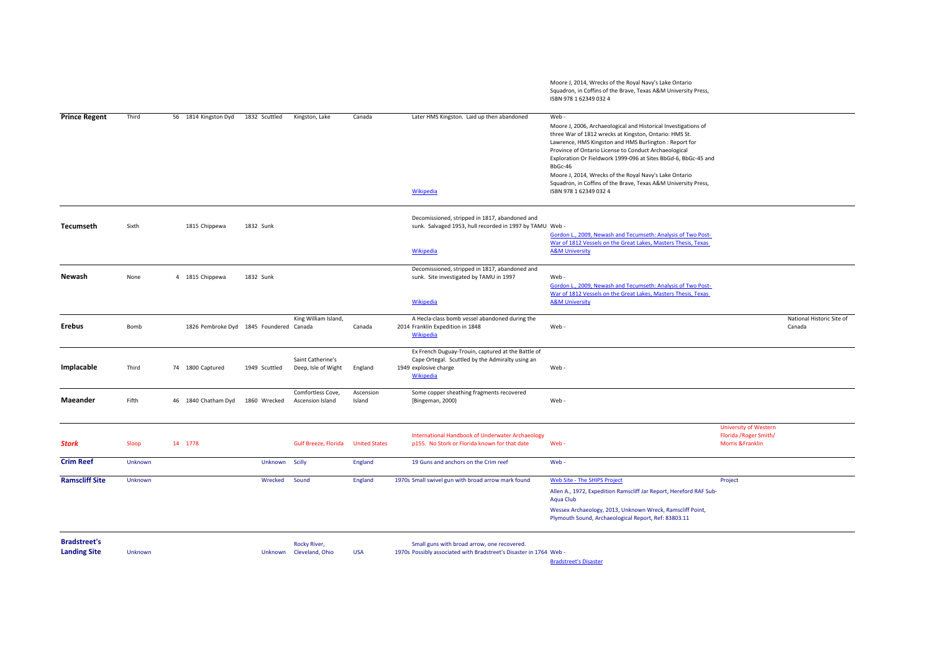|                                            |         |                                         |               |                                          |                      |                                                                                                                                              | Moore J, 2014, Wrecks of the Royal Navy's Lake Ontario<br>Squadron, in Coffins of the Brave, Texas A&M University Press,<br>ISBN 978 1 62349 032 4                                                                                                                                                                                                                                                                                                                                     |                                                                             |                                     |
|--------------------------------------------|---------|-----------------------------------------|---------------|------------------------------------------|----------------------|----------------------------------------------------------------------------------------------------------------------------------------------|----------------------------------------------------------------------------------------------------------------------------------------------------------------------------------------------------------------------------------------------------------------------------------------------------------------------------------------------------------------------------------------------------------------------------------------------------------------------------------------|-----------------------------------------------------------------------------|-------------------------------------|
| <b>Prince Regent</b>                       | Third   | 56 1814 Kingston Dyd                    | 1832 Scuttled | Kingston, Lake                           | Canada               | Later HMS Kingston. Laid up then abandoned<br><b>Wikipedia</b>                                                                               | Web-<br>Moore J, 2006, Archaeological and Historical Investigations of<br>three War of 1812 wrecks at Kingston, Ontario: HMS St.<br>Lawrence, HMS Kingston and HMS Burlington : Report for<br>Province of Ontario License to Conduct Archaeological<br>Exploration Or Fieldwork 1999-096 at Sites BbGd-6, BbGc-45 and<br>BbGc-46<br>Moore J, 2014, Wrecks of the Royal Navy's Lake Ontario<br>Squadron, in Coffins of the Brave, Texas A&M University Press,<br>ISBN 978 1 62349 032 4 |                                                                             |                                     |
| Tecumseth                                  | Sixth   | 1815 Chippewa                           | 1832 Sunk     |                                          |                      | Decomissioned, stripped in 1817, abandoned and<br>sunk. Salvaged 1953, hull recorded in 1997 by TAMU Web -<br><b>Wikipedia</b>               | Gordon L., 2009, Newash and Tecumseth: Analysis of Two Post-<br>War of 1812 Vessels on the Great Lakes, Masters Thesis, Texas<br><b>A&amp;M University</b>                                                                                                                                                                                                                                                                                                                             |                                                                             |                                     |
| Newash                                     | None    | 4 1815 Chippewa                         | 1832 Sunk     |                                          |                      | Decomissioned, stripped in 1817, abandoned and<br>sunk. Site investigated by TAMU in 1997                                                    | Web -<br>Gordon L., 2009, Newash and Tecumseth: Analysis of Two Post-<br>War of 1812 Vessels on the Great Lakes, Masters Thesis, Texas                                                                                                                                                                                                                                                                                                                                                 |                                                                             |                                     |
|                                            |         |                                         |               |                                          |                      | Wikipedia                                                                                                                                    | <b>A&amp;M University</b>                                                                                                                                                                                                                                                                                                                                                                                                                                                              |                                                                             |                                     |
| Erebus                                     | Bomb    | 1826 Pembroke Dyd 1845 Foundered Canada |               | King William Island,                     | Canada               | A Hecla-class bomb vessel abandoned during the<br>2014 Franklin Expedition in 1848<br><b>Wikipedia</b>                                       | Web-                                                                                                                                                                                                                                                                                                                                                                                                                                                                                   |                                                                             | National Historic Site of<br>Canada |
| Implacable                                 | Third   | 74 1800 Captured                        | 1949 Scuttled | Saint Catherine's<br>Deep, Isle of Wight | England              | Ex French Duguay-Trouin, captured at the Battle of<br>Cape Ortegal. Scuttled by the Admiralty using an<br>1949 explosive charge<br>Wikipedia | Web-                                                                                                                                                                                                                                                                                                                                                                                                                                                                                   |                                                                             |                                     |
| Maeander                                   | Fifth   | 46 1840 Chatham Dyd                     | 1860 Wrecked  | Comfortless Cove,<br>Ascension Island    | Ascension<br>Island  | Some copper sheathing fragments recovered<br>[Bingeman, 2000)                                                                                | Web-                                                                                                                                                                                                                                                                                                                                                                                                                                                                                   |                                                                             |                                     |
| <b>Stork</b>                               | Sloop   | 14 1778                                 |               | <b>Gulf Breeze, Florida</b>              | <b>United States</b> | International Handbook of Underwater Archaeology<br>p155. No Stork or Florida known for that date                                            | Web-                                                                                                                                                                                                                                                                                                                                                                                                                                                                                   | <b>University of Western</b><br>Florida / Roger Smith/<br>Morris & Franklin |                                     |
| <b>Crim Reef</b>                           | Unknown |                                         | Unknown       | Scilly                                   | England              | 19 Guns and anchors on the Crim reef                                                                                                         | Web-                                                                                                                                                                                                                                                                                                                                                                                                                                                                                   |                                                                             |                                     |
| <b>Ramscliff Site</b>                      | Unknown |                                         | Wrecked       | Sound                                    | England              | 1970s Small swivel gun with broad arrow mark found                                                                                           | Web Site - The SHIPS Project                                                                                                                                                                                                                                                                                                                                                                                                                                                           | Project                                                                     |                                     |
|                                            |         |                                         |               |                                          |                      |                                                                                                                                              | Allen A., 1972, Expedition Ramscliff Jar Report, Hereford RAF Sub-<br><b>Aqua Club</b><br>Wessex Archaeology, 2013, Unknown Wreck, Ramscliff Point,<br>Plymouth Sound, Archaeological Report, Ref: 83803.11                                                                                                                                                                                                                                                                            |                                                                             |                                     |
| <b>Bradstreet's</b><br><b>Landing Site</b> | Unknown |                                         |               | Rocky River,<br>Unknown Cleveland, Ohio  | <b>USA</b>           | Small guns with broad arrow, one recovered.<br>1970s Possibly associated with Bradstreet's Disaster in 1764 Web-                             |                                                                                                                                                                                                                                                                                                                                                                                                                                                                                        |                                                                             |                                     |

Bradstreet's Disaster